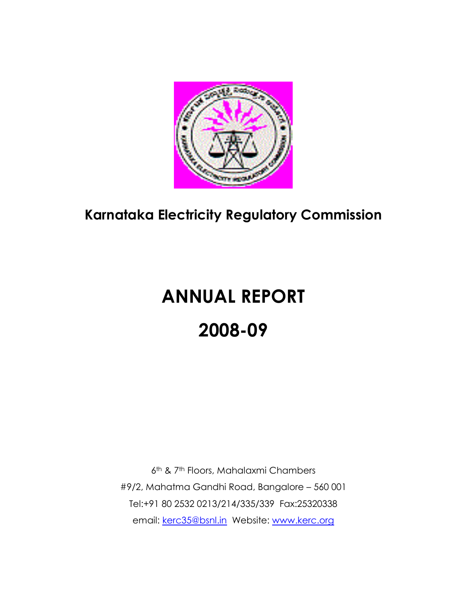

## **Karnataka Electricity Regulatory Commission**

# **ANNUAL REPORT 2008-09**

6th & 7th Floors, Mahalaxmi Chambers #9/2, Mahatma Gandhi Road, Bangalore – 560 001 Tel:+91 80 2532 0213/214/335/339 Fax:25320338 email: [kerc35@bsnl.in](mailto:kerc35@bsnl.in) Website: [www.kerc.org](http://www.kerc.org/)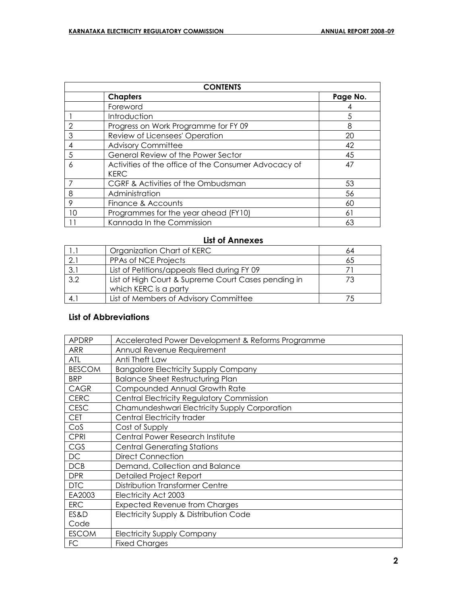| <b>CONTENTS</b> |                                                                     |          |  |  |  |  |
|-----------------|---------------------------------------------------------------------|----------|--|--|--|--|
|                 | <b>Chapters</b>                                                     | Page No. |  |  |  |  |
|                 | Foreword                                                            |          |  |  |  |  |
|                 | Introduction                                                        | 5        |  |  |  |  |
| 2               | Progress on Work Programme for FY 09                                | 8        |  |  |  |  |
| 3               | Review of Licensees' Operation                                      | 20       |  |  |  |  |
| 4               | <b>Advisory Committee</b>                                           | 42       |  |  |  |  |
| 5               | General Review of the Power Sector                                  | 45       |  |  |  |  |
| 6               | Activities of the office of the Consumer Advocacy of<br><b>KERC</b> | 47       |  |  |  |  |
|                 | CGRF & Activities of the Ombudsman                                  | 53       |  |  |  |  |
| 8               | Administration                                                      | 56       |  |  |  |  |
| 9               | Finance & Accounts                                                  | 60       |  |  |  |  |
| 10              | Programmes for the year ahead (FY10)                                | 61       |  |  |  |  |
| 11              | Kannada In the Commission                                           | 63       |  |  |  |  |

## **List of Annexes**

|     | Organization Chart of KERC                          | 64 |
|-----|-----------------------------------------------------|----|
|     | PPAs of NCE Projects                                | 65 |
| 3.1 | List of Petitions/appeals filed during FY 09        |    |
| 3.2 | List of High Court & Supreme Court Cases pending in |    |
|     | which KERC is a party                               |    |
|     | List of Members of Advisory Committee               |    |

## **List of Abbreviations**

| APDRP         | Accelerated Power Development & Reforms Programme |
|---------------|---------------------------------------------------|
| <b>ARR</b>    | Annual Revenue Requirement                        |
|               |                                                   |
| ATL           | Anti Theft Law                                    |
| <b>BESCOM</b> | <b>Bangalore Electricity Supply Company</b>       |
| <b>BRP</b>    | <b>Balance Sheet Restructuring Plan</b>           |
| <b>CAGR</b>   | Compounded Annual Growth Rate                     |
| <b>CERC</b>   | <b>Central Electricity Regulatory Commission</b>  |
| <b>CESC</b>   | Chamundeshwari Electricity Supply Corporation     |
| <b>CET</b>    | Central Electricity trader                        |
| Cos           | Cost of Supply                                    |
| <b>CPRI</b>   | Central Power Research Institute                  |
| CGS           | <b>Central Generating Stations</b>                |
| <b>DC</b>     | <b>Direct Connection</b>                          |
| DCB           | Demand, Collection and Balance                    |
| <b>DPR</b>    | <b>Detailed Project Report</b>                    |
| <b>DTC</b>    | Distribution Transformer Centre                   |
| EA2003        | Electricity Act 2003                              |
| <b>ERC</b>    | <b>Expected Revenue from Charges</b>              |
| ES&D          | Electricity Supply & Distribution Code            |
| Code          |                                                   |
| <b>ESCOM</b>  | <b>Electricity Supply Company</b>                 |
| FC            | <b>Fixed Charges</b>                              |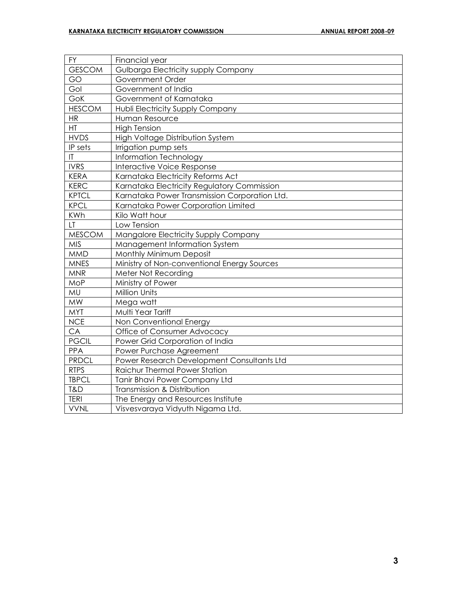| <b>FY</b>     | Financial year                                |
|---------------|-----------------------------------------------|
| <b>GESCOM</b> | Gulbarga Electricity supply Company           |
| GO            | Government Order                              |
| Gol           | Government of India                           |
| GoK           | Government of Karnataka                       |
| <b>HESCOM</b> | Hubli Electricity Supply Company              |
| <b>HR</b>     | Human Resource                                |
| HT            | <b>High Tension</b>                           |
| <b>HVDS</b>   | High Voltage Distribution System              |
| IP sets       | Irrigation pump sets                          |
| IT            | Information Technology                        |
| <b>IVRS</b>   | <b>Interactive Voice Response</b>             |
| <b>KERA</b>   | Karnataka Electricity Reforms Act             |
| <b>KERC</b>   | Karnataka Electricity Regulatory Commission   |
| <b>KPTCL</b>  | Karnataka Power Transmission Corporation Ltd. |
| <b>KPCL</b>   | Karnataka Power Corporation Limited           |
| <b>KWh</b>    | Kilo Watt hour                                |
| LT.           | Low Tension                                   |
| <b>MESCOM</b> | Mangalore Electricity Supply Company          |
| <b>MIS</b>    | Management Information System                 |
| <b>MMD</b>    | Monthly Minimum Deposit                       |
| <b>MNES</b>   | Ministry of Non-conventional Energy Sources   |
| <b>MNR</b>    | Meter Not Recording                           |
| MoP           | Ministry of Power                             |
| MU            | Million Units                                 |
| <b>MW</b>     | Mega watt                                     |
| <b>MYT</b>    | Multi Year Tariff                             |
| <b>NCE</b>    | Non Conventional Energy                       |
| CA            | Office of Consumer Advocacy                   |
| <b>PGCIL</b>  | Power Grid Corporation of India               |
| <b>PPA</b>    | Power Purchase Agreement                      |
| <b>PRDCL</b>  | Power Research Development Consultants Ltd    |
| <b>RTPS</b>   | Raichur Thermal Power Station                 |
| <b>TBPCL</b>  | <b>Tanir Bhavi Power Company Ltd</b>          |
| T&D           | Transmission & Distribution                   |
| <b>TERI</b>   | The Energy and Resources Institute            |
| <b>VVNL</b>   | Visvesvaraya Vidyuth Nigama Ltd.              |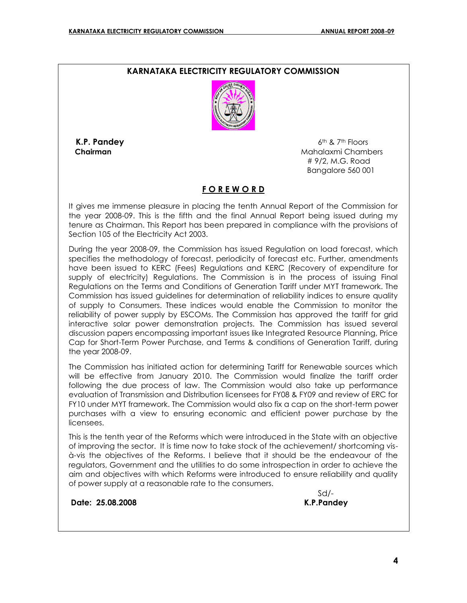## **KARNATAKA ELECTRICITY REGULATORY COMMISSION**



**K.P. Pandey 6th & 7th Floors Chairman Chairman Mahalaxmi Chambers Mahalaxmi Chambers Mahalaxmi** Chambers # 9/2, M.G. Road Bangalore 560 001

#### **F O R E W O R D**

It gives me immense pleasure in placing the tenth Annual Report of the Commission for the year 2008-09. This is the fifth and the final Annual Report being issued during my tenure as Chairman. This Report has been prepared in compliance with the provisions of Section 105 of the Electricity Act 2003.

During the year 2008-09, the Commission has issued Regulation on load forecast, which specifies the methodology of forecast, periodicity of forecast etc. Further, amendments have been issued to KERC (Fees) Regulations and KERC (Recovery of expenditure for supply of electricity) Regulations. The Commission is in the process of issuing Final Regulations on the Terms and Conditions of Generation Tariff under MYT framework. The Commission has issued guidelines for determination of reliability indices to ensure quality of supply to Consumers. These indices would enable the Commission to monitor the reliability of power supply by ESCOMs. The Commission has approved the tariff for grid interactive solar power demonstration projects. The Commission has issued several discussion papers encompassing important issues like Integrated Resource Planning, Price Cap for Short-Term Power Purchase, and Terms & conditions of Generation Tariff, during the year 2008-09.

The Commission has initiated action for determining Tariff for Renewable sources which will be effective from January 2010. The Commission would finalize the tariff order following the due process of law. The Commission would also take up performance evaluation of Transmission and Distribution licensees for FY08 & FY09 and review of ERC for FY10 under MYT framework. The Commission would also fix a cap on the short-term power purchases with a view to ensuring economic and efficient power purchase by the licensees.

This is the tenth year of the Reforms which were introduced in the State with an objective of improving the sector. It is time now to take stock of the achievement/ shortcoming visà-vis the objectives of the Reforms. I believe that it should be the endeavour of the regulators, Government and the utilities to do some introspection in order to achieve the aim and objectives with which Reforms were introduced to ensure reliability and quality of power supply at a reasonable rate to the consumers.

**Date: 25.08.2008 K.P.Pandey**

 $S$ d/- $S$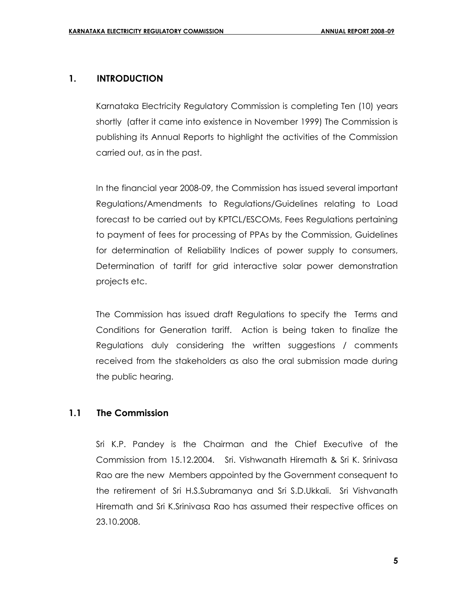## **1. INTRODUCTION**

Karnataka Electricity Regulatory Commission is completing Ten (10) years shortly (after it came into existence in November 1999) The Commission is publishing its Annual Reports to highlight the activities of the Commission carried out, as in the past.

In the financial year 2008-09, the Commission has issued several important Regulations/Amendments to Regulations/Guidelines relating to Load forecast to be carried out by KPTCL/ESCOMs, Fees Regulations pertaining to payment of fees for processing of PPAs by the Commission, Guidelines for determination of Reliability Indices of power supply to consumers, Determination of tariff for grid interactive solar power demonstration projects etc.

The Commission has issued draft Regulations to specify the Terms and Conditions for Generation tariff. Action is being taken to finalize the Regulations duly considering the written suggestions / comments received from the stakeholders as also the oral submission made during the public hearing.

## **1.1 The Commission**

Sri K.P. Pandey is the Chairman and the Chief Executive of the Commission from 15.12.2004. Sri. Vishwanath Hiremath & Sri K. Srinivasa Rao are the new Members appointed by the Government consequent to the retirement of Sri H.S.Subramanya and Sri S.D.Ukkali. Sri Vishvanath Hiremath and Sri K.Srinivasa Rao has assumed their respective offices on 23.10.2008.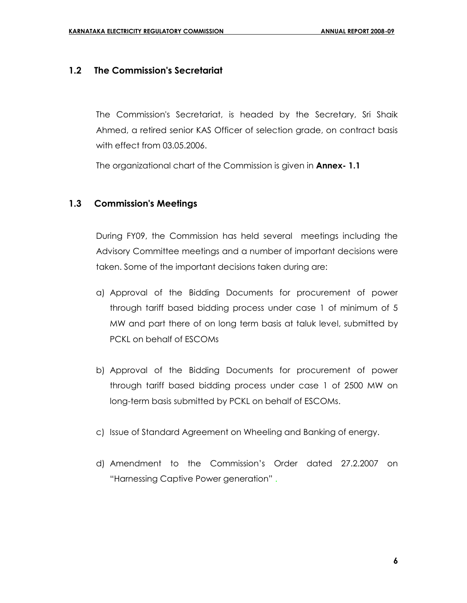## **1.2 The Commission's Secretariat**

 The Commission's Secretariat, is headed by the Secretary, Sri Shaik Ahmed, a retired senior KAS Officer of selection grade, on contract basis with effect from 03.05.2006.

The organizational chart of the Commission is given in **Annex- 1.1** 

## **1.3 Commission's Meetings**

 During FY09, the Commission has held several meetings including the Advisory Committee meetings and a number of important decisions were taken. Some of the important decisions taken during are:

- a) Approval of the Bidding Documents for procurement of power through tariff based bidding process under case 1 of minimum of 5 MW and part there of on long term basis at taluk level, submitted by PCKL on behalf of ESCOMs
- b) Approval of the Bidding Documents for procurement of power through tariff based bidding process under case 1 of 2500 MW on long-term basis submitted by PCKL on behalf of ESCOMs.
- c) Issue of Standard Agreement on Wheeling and Banking of energy.
- d) Amendment to the Commission's Order dated 27.2.2007 on "Harnessing Captive Power generation" .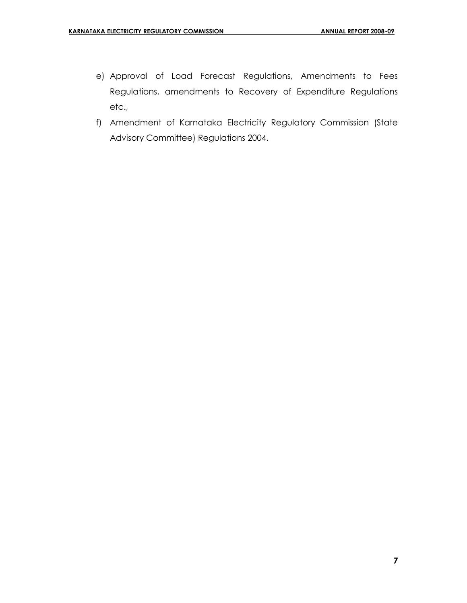- e) Approval of Load Forecast Regulations, Amendments to Fees Regulations, amendments to Recovery of Expenditure Regulations etc.,
- f) Amendment of Karnataka Electricity Regulatory Commission (State Advisory Committee) Regulations 2004.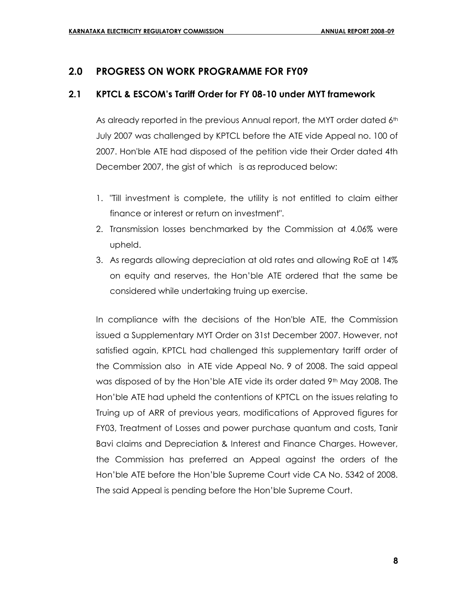## **2.0 PROGRESS ON WORK PROGRAMME FOR FY09**

## **2.1 KPTCL & ESCOM's Tariff Order for FY 08-10 under MYT framework**

As already reported in the previous Annual report, the MYT order dated 6<sup>th</sup> July 2007 was challenged by KPTCL before the ATE vide Appeal no. 100 of 2007. Hon'ble ATE had disposed of the petition vide their Order dated 4th December 2007, the gist of which is as reproduced below:

- 1. "Till investment is complete, the utility is not entitled to claim either finance or interest or return on investment".
- 2. Transmission losses benchmarked by the Commission at 4.06% were upheld.
- 3. As regards allowing depreciation at old rates and allowing RoE at 14% on equity and reserves, the Hon'ble ATE ordered that the same be considered while undertaking truing up exercise.

In compliance with the decisions of the Hon'ble ATE, the Commission issued a Supplementary MYT Order on 31st December 2007. However, not satisfied again, KPTCL had challenged this supplementary tariff order of the Commission also in ATE vide Appeal No. 9 of 2008. The said appeal was disposed of by the Hon'ble ATE vide its order dated 9th May 2008. The Hon'ble ATE had upheld the contentions of KPTCL on the issues relating to Truing up of ARR of previous years, modifications of Approved figures for FY03, Treatment of Losses and power purchase quantum and costs, Tanir Bavi claims and Depreciation & Interest and Finance Charges. However, the Commission has preferred an Appeal against the orders of the Hon'ble ATE before the Hon'ble Supreme Court vide CA No. 5342 of 2008. The said Appeal is pending before the Hon'ble Supreme Court.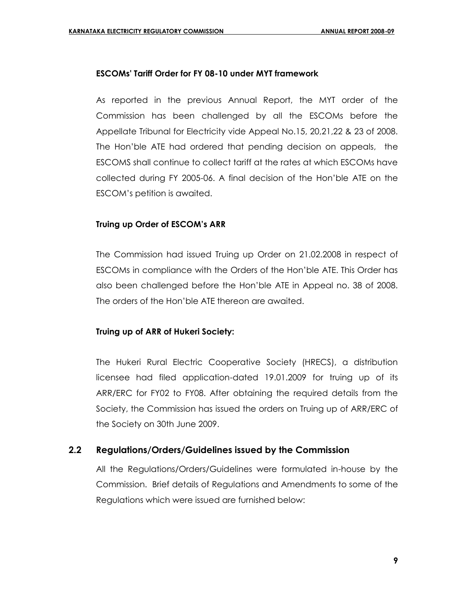### **ESCOMs' Tariff Order for FY 08-10 under MYT framework**

As reported in the previous Annual Report, the MYT order of the Commission has been challenged by all the ESCOMs before the Appellate Tribunal for Electricity vide Appeal No.15, 20,21,22 & 23 of 2008. The Hon'ble ATE had ordered that pending decision on appeals, the ESCOMS shall continue to collect tariff at the rates at which ESCOMs have collected during FY 2005-06. A final decision of the Hon'ble ATE on the ESCOM's petition is awaited.

## **Truing up Order of ESCOM's ARR**

The Commission had issued Truing up Order on 21.02.2008 in respect of ESCOMs in compliance with the Orders of the Hon'ble ATE. This Order has also been challenged before the Hon'ble ATE in Appeal no. 38 of 2008. The orders of the Hon'ble ATE thereon are awaited.

#### **Truing up of ARR of Hukeri Society:**

The Hukeri Rural Electric Cooperative Society (HRECS), a distribution licensee had filed application-dated 19.01.2009 for truing up of its ARR/ERC for FY02 to FY08. After obtaining the required details from the Society, the Commission has issued the orders on Truing up of ARR/ERC of the Society on 30th June 2009.

## **2.2 Regulations/Orders/Guidelines issued by the Commission**

All the Regulations/Orders/Guidelines were formulated in-house by the Commission. Brief details of Regulations and Amendments to some of the Regulations which were issued are furnished below: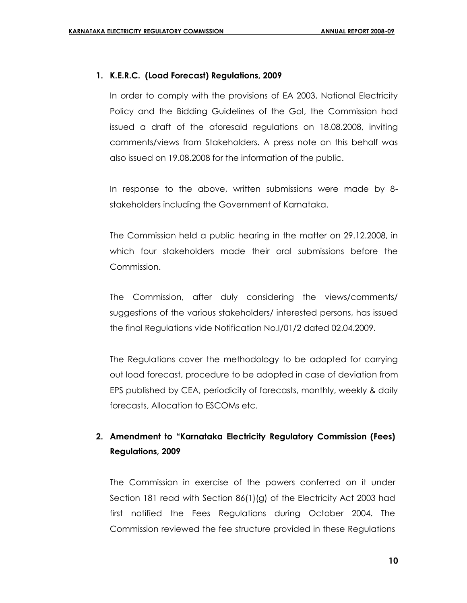### **1. K.E.R.C. (Load Forecast) Regulations, 2009**

In order to comply with the provisions of EA 2003, National Electricity Policy and the Bidding Guidelines of the GoI, the Commission had issued a draft of the aforesaid regulations on 18.08.2008, inviting comments/views from Stakeholders. A press note on this behalf was also issued on 19.08.2008 for the information of the public.

In response to the above, written submissions were made by 8 stakeholders including the Government of Karnataka.

The Commission held a public hearing in the matter on 29.12.2008, in which four stakeholders made their oral submissions before the Commission.

The Commission, after duly considering the views/comments/ suggestions of the various stakeholders/ interested persons, has issued the final Regulations vide Notification No.I/01/2 dated 02.04.2009.

The Regulations cover the methodology to be adopted for carrying out load forecast, procedure to be adopted in case of deviation from EPS published by CEA, periodicity of forecasts, monthly, weekly & daily forecasts, Allocation to ESCOMs etc.

## **2. Amendment to "Karnataka Electricity Regulatory Commission (Fees) Regulations, 2009**

The Commission in exercise of the powers conferred on it under Section 181 read with Section 86(1)(g) of the Electricity Act 2003 had first notified the Fees Regulations during October 2004. The Commission reviewed the fee structure provided in these Regulations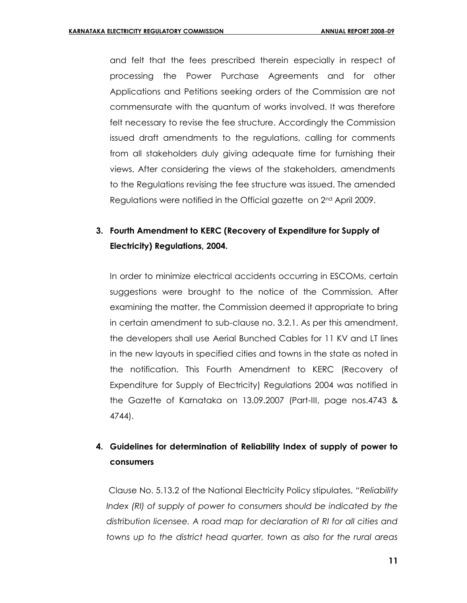and felt that the fees prescribed therein especially in respect of processing the Power Purchase Agreements and for other Applications and Petitions seeking orders of the Commission are not commensurate with the quantum of works involved. It was therefore felt necessary to revise the fee structure. Accordingly the Commission issued draft amendments to the regulations, calling for comments from all stakeholders duly giving adequate time for furnishing their views. After considering the views of the stakeholders, amendments to the Regulations revising the fee structure was issued. The amended Regulations were notified in the Official gazette on 2<sup>nd</sup> April 2009.

## **3. Fourth Amendment to KERC (Recovery of Expenditure for Supply of Electricity) Regulations, 2004.**

In order to minimize electrical accidents occurring in ESCOMs, certain suggestions were brought to the notice of the Commission. After examining the matter, the Commission deemed it appropriate to bring in certain amendment to sub-clause no. 3.2.1. As per this amendment, the developers shall use Aerial Bunched Cables for 11 KV and LT lines in the new layouts in specified cities and towns in the state as noted in the notification. This Fourth Amendment to KERC (Recovery of Expenditure for Supply of Electricity) Regulations 2004 was notified in the Gazette of Karnataka on 13.09.2007 (Part-III, page nos.4743 & 4744).

## **4. Guidelines for determination of Reliability Index of supply of power to consumers**

Clause No. 5.13.2 of the National Electricity Policy stipulates, *"Reliability Index (RI) of supply of power to consumers should be indicated by the distribution licensee. A road map for declaration of RI for all cities and towns up to the district head quarter, town as also for the rural areas*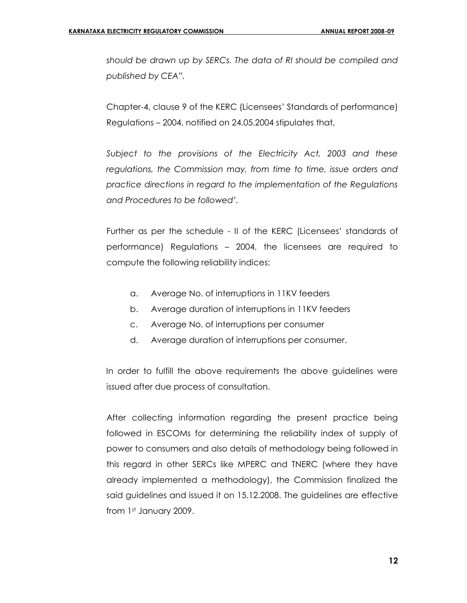*should be drawn up by SERCs. The data of RI should be compiled and published by CEA".*

Chapter-4, clause 9 of the KERC (Licensees' Standards of performance) Regulations – 2004, notified on 24.05.2004 stipulates that,

*Subject to the provisions of the Electricity Act, 2003 and these regulations, the Commission may, from time to time, issue orders and practice directions in regard to the implementation of the Regulations and Procedures to be followed'.* 

Further as per the schedule - II of the KERC (Licensees' standards of performance) Regulations – 2004, the licensees are required to compute the following reliability indices:

- a. Average No. of interruptions in 11KV feeders
- b. Average duration of interruptions in 11KV feeders
- c. Average No. of interruptions per consumer
- d. Average duration of interruptions per consumer.

In order to fulfill the above requirements the above guidelines were issued after due process of consultation.

After collecting information regarding the present practice being followed in ESCOMs for determining the reliability index of supply of power to consumers and also details of methodology being followed in this regard in other SERCs like MPERC and TNERC (where they have already implemented a methodology), the Commission finalized the said guidelines and issued it on 15.12.2008. The guidelines are effective from 1st January 2009.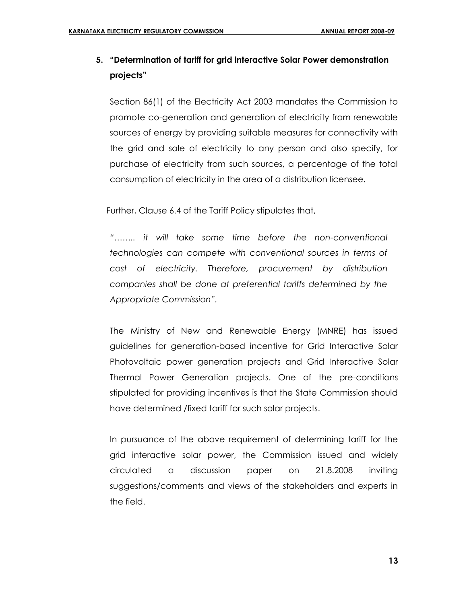## **5. "Determination of tariff for grid interactive Solar Power demonstration projects"**

Section 86(1) of the Electricity Act 2003 mandates the Commission to promote co-generation and generation of electricity from renewable sources of energy by providing suitable measures for connectivity with the grid and sale of electricity to any person and also specify, for purchase of electricity from such sources, a percentage of the total consumption of electricity in the area of a distribution licensee.

Further, Clause 6.4 of the Tariff Policy stipulates that,

*"…….. it will take some time before the non-conventional technologies can compete with conventional sources in terms of cost of electricity. Therefore, procurement by distribution companies shall be done at preferential tariffs determined by the Appropriate Commission".* 

The Ministry of New and Renewable Energy (MNRE) has issued guidelines for generation-based incentive for Grid Interactive Solar Photovoltaic power generation projects and Grid Interactive Solar Thermal Power Generation projects. One of the pre-conditions stipulated for providing incentives is that the State Commission should have determined /fixed tariff for such solar projects.

In pursuance of the above requirement of determining tariff for the grid interactive solar power, the Commission issued and widely circulated a discussion paper on 21.8.2008 inviting suggestions/comments and views of the stakeholders and experts in the field.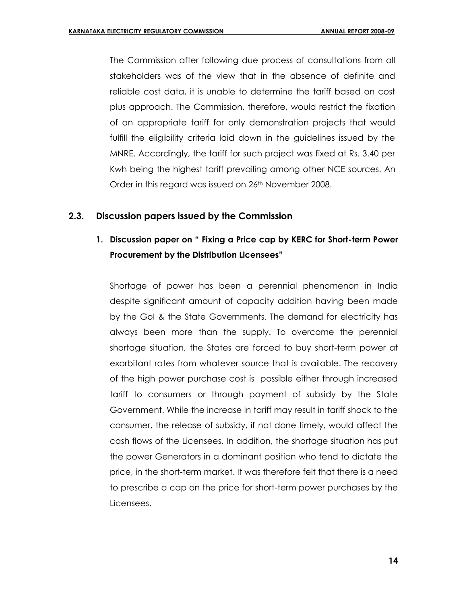The Commission after following due process of consultations from all stakeholders was of the view that in the absence of definite and reliable cost data, it is unable to determine the tariff based on cost plus approach. The Commission, therefore, would restrict the fixation of an appropriate tariff for only demonstration projects that would fulfill the eligibility criteria laid down in the guidelines issued by the MNRE. Accordingly, the tariff for such project was fixed at Rs. 3.40 per Kwh being the highest tariff prevailing among other NCE sources. An Order in this regard was issued on 26<sup>th</sup> November 2008.

## **2.3. Discussion papers issued by the Commission**

## **1. Discussion paper on " Fixing a Price cap by KERC for Short-term Power Procurement by the Distribution Licensees"**

Shortage of power has been a perennial phenomenon in India despite significant amount of capacity addition having been made by the GoI & the State Governments. The demand for electricity has always been more than the supply. To overcome the perennial shortage situation, the States are forced to buy short-term power at exorbitant rates from whatever source that is available. The recovery of the high power purchase cost is possible either through increased tariff to consumers or through payment of subsidy by the State Government. While the increase in tariff may result in tariff shock to the consumer, the release of subsidy, if not done timely, would affect the cash flows of the Licensees. In addition, the shortage situation has put the power Generators in a dominant position who tend to dictate the price, in the short-term market. It was therefore felt that there is a need to prescribe a cap on the price for short-term power purchases by the Licensees.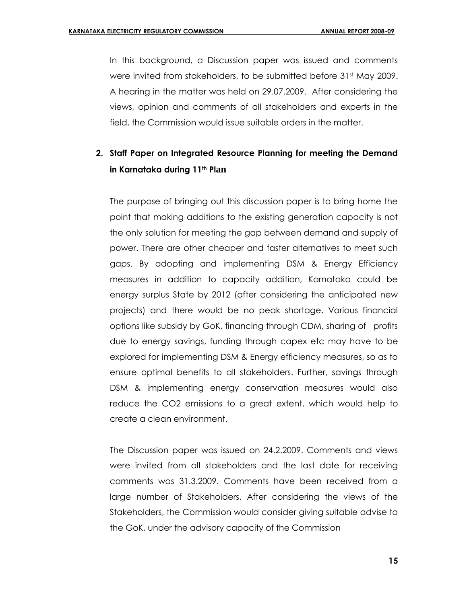In this background, a Discussion paper was issued and comments were invited from stakeholders, to be submitted before 31<sup>st</sup> May 2009. A hearing in the matter was held on 29.07.2009. After considering the views, opinion and comments of all stakeholders and experts in the field, the Commission would issue suitable orders in the matter.

## **2. Staff Paper on Integrated Resource Planning for meeting the Demand in Karnataka during 11th Plan**

The purpose of bringing out this discussion paper is to bring home the point that making additions to the existing generation capacity is not the only solution for meeting the gap between demand and supply of power. There are other cheaper and faster alternatives to meet such gaps. By adopting and implementing DSM & Energy Efficiency measures in addition to capacity addition, Karnataka could be energy surplus State by 2012 (after considering the anticipated new projects) and there would be no peak shortage. Various financial options like subsidy by GoK, financing through CDM, sharing of profits due to energy savings, funding through capex etc may have to be explored for implementing DSM & Energy efficiency measures, so as to ensure optimal benefits to all stakeholders. Further, savings through DSM & implementing energy conservation measures would also reduce the CO2 emissions to a great extent, which would help to create a clean environment.

The Discussion paper was issued on 24.2.2009. Comments and views were invited from all stakeholders and the last date for receiving comments was 31.3.2009. Comments have been received from a large number of Stakeholders. After considering the views of the Stakeholders, the Commission would consider giving suitable advise to the GoK, under the advisory capacity of the Commission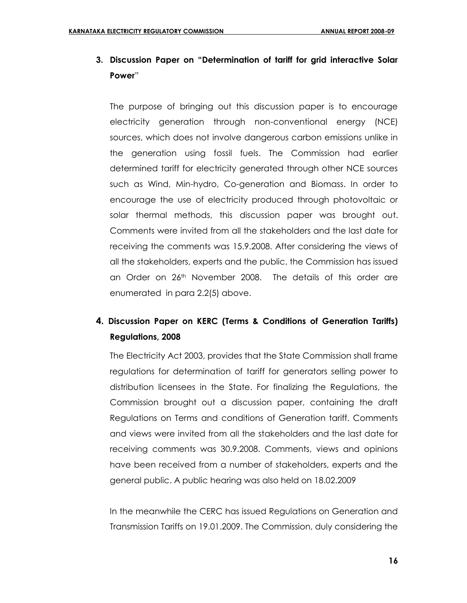## **3. Discussion Paper on "Determination of tariff for grid interactive Solar Power**"

The purpose of bringing out this discussion paper is to encourage electricity generation through non-conventional energy (NCE) sources, which does not involve dangerous carbon emissions unlike in the generation using fossil fuels. The Commission had earlier determined tariff for electricity generated through other NCE sources such as Wind, Min-hydro, Co-generation and Biomass. In order to encourage the use of electricity produced through photovoltaic or solar thermal methods, this discussion paper was brought out. Comments were invited from all the stakeholders and the last date for receiving the comments was 15.9.2008. After considering the views of all the stakeholders, experts and the public, the Commission has issued an Order on 26<sup>th</sup> November 2008. The details of this order are enumerated in para 2.2(5) above.

## **4. Discussion Paper on KERC (Terms & Conditions of Generation Tariffs) Regulations, 2008**

The Electricity Act 2003, provides that the State Commission shall frame regulations for determination of tariff for generators selling power to distribution licensees in the State. For finalizing the Regulations, the Commission brought out a discussion paper, containing the draft Regulations on Terms and conditions of Generation tariff. Comments and views were invited from all the stakeholders and the last date for receiving comments was 30.9.2008. Comments, views and opinions have been received from a number of stakeholders, experts and the general public. A public hearing was also held on 18.02.2009

In the meanwhile the CERC has issued Regulations on Generation and Transmission Tariffs on 19.01.2009. The Commission, duly considering the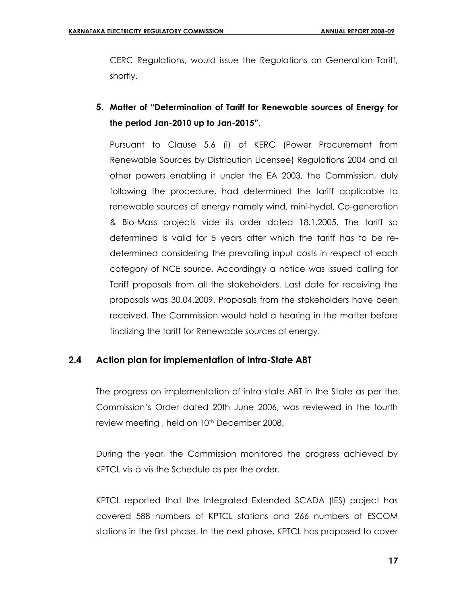CERC Regulations, would issue the Regulations on Generation Tariff, shortly.

**5**. **Matter of "Determination of Tariff for Renewable sources of Energy for the period Jan-2010 up to Jan-2015".**

Pursuant to Clause 5.6 (i) of KERC (Power Procurement from Renewable Sources by Distribution Licensee) Regulations 2004 and all other powers enabling it under the EA 2003, the Commission, duly following the procedure, had determined the tariff applicable to renewable sources of energy namely wind, mini-hydel, Co-generation & Bio-Mass projects vide its order dated 18.1.2005. The tariff so determined is valid for 5 years after which the tariff has to be redetermined considering the prevailing input costs in respect of each category of NCE source. Accordingly a notice was issued calling for Tariff proposals from all the stakeholders. Last date for receiving the proposals was 30.04.2009. Proposals from the stakeholders have been received. The Commission would hold a hearing in the matter before finalizing the tariff for Renewable sources of energy.

## **2.4 Action plan for implementation of Intra-State ABT**

The progress on implementation of intra-state ABT in the State as per the Commission's Order dated 20th June 2006, was reviewed in the fourth review meeting, held on 10<sup>th</sup> December 2008.

During the year, the Commission monitored the progress achieved by KPTCL vis-à-vis the Schedule as per the order.

KPTCL reported that the Integrated Extended SCADA (IES) project has covered 588 numbers of KPTCL stations and 266 numbers of ESCOM stations in the first phase. In the next phase, KPTCL has proposed to cover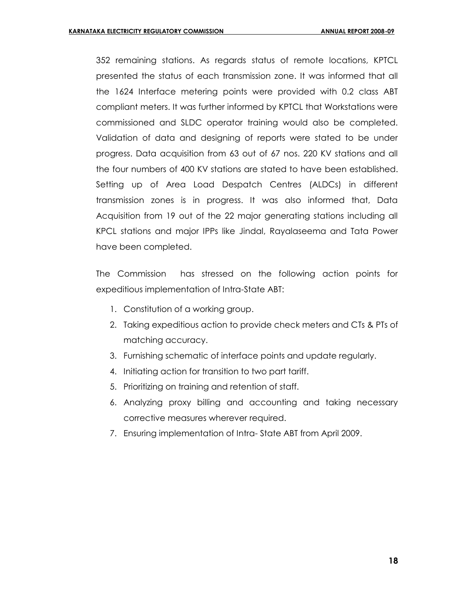352 remaining stations. As regards status of remote locations, KPTCL presented the status of each transmission zone. It was informed that all the 1624 Interface metering points were provided with 0.2 class ABT compliant meters. It was further informed by KPTCL that Workstations were commissioned and SLDC operator training would also be completed. Validation of data and designing of reports were stated to be under progress. Data acquisition from 63 out of 67 nos. 220 KV stations and all the four numbers of 400 KV stations are stated to have been established. Setting up of Area Load Despatch Centres (ALDCs) in different transmission zones is in progress. It was also informed that, Data Acquisition from 19 out of the 22 major generating stations including all KPCL stations and major IPPs like Jindal, Rayalaseema and Tata Power have been completed.

The Commission has stressed on the following action points for expeditious implementation of Intra-State ABT:

- 1. Constitution of a working group.
- 2. Taking expeditious action to provide check meters and CTs & PTs of matching accuracy.
- 3. Furnishing schematic of interface points and update regularly.
- 4. Initiating action for transition to two part tariff.
- 5. Prioritizing on training and retention of staff.
- 6. Analyzing proxy billing and accounting and taking necessary corrective measures wherever required.
- 7. Ensuring implementation of Intra- State ABT from April 2009.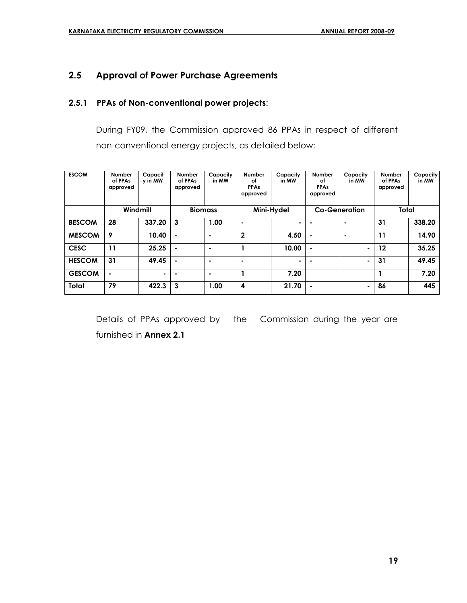## **2.5 Approval of Power Purchase Agreements**

## **2.5.1 PPAs of Non-conventional power projects**:

During FY09, the Commission approved 86 PPAs in respect of different non-conventional energy projects, as detailed below:

| <b>ESCOM</b>  | <b>Number</b><br>of PPAs<br>approved | Capacit<br>y in MW | <b>Number</b><br>of PPAs<br>approved | Capacity<br>in MW | <b>Number</b><br>оf<br><b>PPAs</b><br>approved | Capacity<br>in MW | <b>Number</b><br>οf<br><b>PPAs</b><br>approved | Capacity<br>in MW    | <b>Number</b><br>of PPAs<br>approved | Capacity<br>in MW |
|---------------|--------------------------------------|--------------------|--------------------------------------|-------------------|------------------------------------------------|-------------------|------------------------------------------------|----------------------|--------------------------------------|-------------------|
|               | Windmill                             |                    | <b>Biomass</b>                       |                   |                                                | Mini-Hydel        |                                                | <b>Co-Generation</b> | Total                                |                   |
| <b>BESCOM</b> | 28                                   | 337.20             | 3                                    | 1.00              | ۰                                              | ٠                 |                                                | ۰                    | 31                                   | 338.20            |
| <b>MESCOM</b> | 9                                    | 10.40              | $\blacksquare$                       | ٠                 | $\mathbf{2}$                                   | 4.50              | $\blacksquare$                                 | ۰                    | 11                                   | 14.90             |
| <b>CESC</b>   | 11                                   | 25.25              | $\blacksquare$                       |                   |                                                | 10.00             | $\blacksquare$                                 | $\blacksquare$       | 12                                   | 35.25             |
| <b>HESCOM</b> | 31                                   | 49.45              | $\blacksquare$                       |                   | ۰                                              |                   |                                                | ٠                    | 31                                   | 49.45             |
| <b>GESCOM</b> | $\blacksquare$                       | ٠                  | $\blacksquare$                       | $\blacksquare$    |                                                | 7.20              |                                                |                      |                                      | 7.20              |
| <b>Total</b>  | 79                                   | 422.3              | 3                                    | 1.00              | 4                                              | 21.70             | $\blacksquare$                                 | $\blacksquare$       | 86                                   | 445               |

Details of PPAs approved by the Commission during the year are furnished in **Annex 2.1**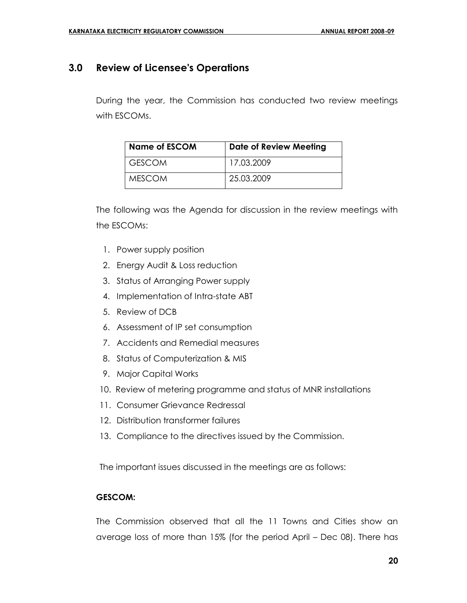## **3.0 Review of Licensee's Operations**

During the year, the Commission has conducted two review meetings with ESCOMs.

| <b>Name of ESCOM</b> | <b>Date of Review Meeting</b> |
|----------------------|-------------------------------|
| I GESCOM             | 17.03.2009                    |
| MESCOM               | 25.03.2009                    |

The following was the Agenda for discussion in the review meetings with the ESCOMs:

- 1. Power supply position
- 2. Energy Audit & Loss reduction
- 3. Status of Arranging Power supply
- 4. Implementation of Intra-state ABT
- 5. Review of DCB
- 6. Assessment of IP set consumption
- 7. Accidents and Remedial measures
- 8. Status of Computerization & MIS
- 9. Major Capital Works
- 10. Review of metering programme and status of MNR installations
- 11. Consumer Grievance Redressal
- 12. Distribution transformer failures
- 13. Compliance to the directives issued by the Commission.

The important issues discussed in the meetings are as follows:

#### **GESCOM:**

The Commission observed that all the 11 Towns and Cities show an average loss of more than 15% (for the period April – Dec 08). There has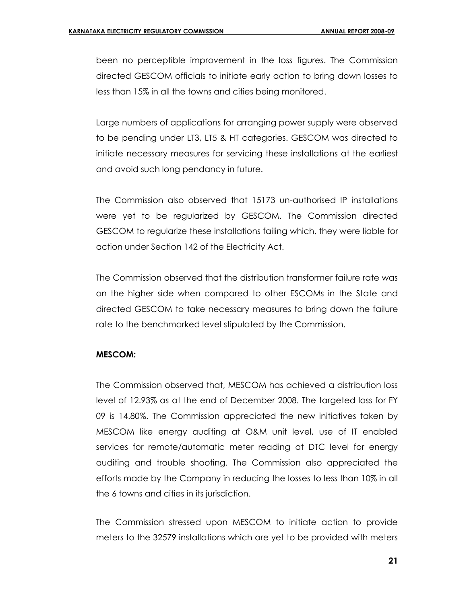been no perceptible improvement in the loss figures. The Commission directed GESCOM officials to initiate early action to bring down losses to less than 15% in all the towns and cities being monitored.

Large numbers of applications for arranging power supply were observed to be pending under LT3, LT5 & HT categories. GESCOM was directed to initiate necessary measures for servicing these installations at the earliest and avoid such long pendancy in future.

The Commission also observed that 15173 un-authorised IP installations were yet to be regularized by GESCOM. The Commission directed GESCOM to regularize these installations failing which, they were liable for action under Section 142 of the Electricity Act.

The Commission observed that the distribution transformer failure rate was on the higher side when compared to other ESCOMs in the State and directed GESCOM to take necessary measures to bring down the failure rate to the benchmarked level stipulated by the Commission.

#### **MESCOM:**

The Commission observed that, MESCOM has achieved a distribution loss level of 12.93% as at the end of December 2008. The targeted loss for FY 09 is 14.80%. The Commission appreciated the new initiatives taken by MESCOM like energy auditing at O&M unit level, use of IT enabled services for remote/automatic meter reading at DTC level for energy auditing and trouble shooting. The Commission also appreciated the efforts made by the Company in reducing the losses to less than 10% in all the 6 towns and cities in its jurisdiction.

The Commission stressed upon MESCOM to initiate action to provide meters to the 32579 installations which are yet to be provided with meters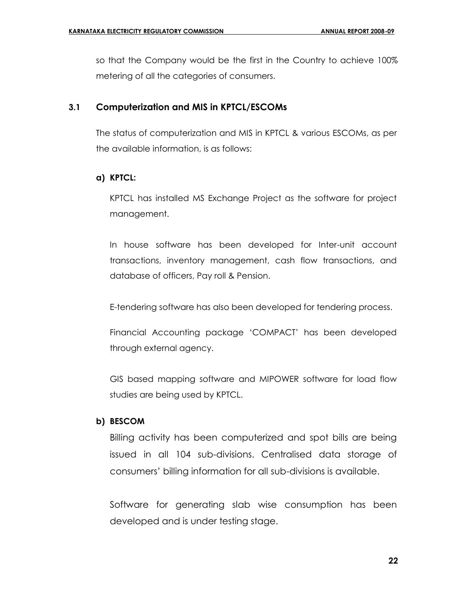so that the Company would be the first in the Country to achieve 100% metering of all the categories of consumers.

## **3.1 Computerization and MIS in KPTCL/ESCOMs**

The status of computerization and MIS in KPTCL & various ESCOMs, as per the available information, is as follows:

## **a) KPTCL:**

KPTCL has installed MS Exchange Project as the software for project management.

In house software has been developed for Inter-unit account transactions, inventory management, cash flow transactions, and database of officers, Pay roll & Pension.

E-tendering software has also been developed for tendering process.

Financial Accounting package 'COMPACT' has been developed through external agency.

GIS based mapping software and MIPOWER software for load flow studies are being used by KPTCL.

#### **b) BESCOM**

Billing activity has been computerized and spot bills are being issued in all 104 sub-divisions. Centralised data storage of consumers' billing information for all sub-divisions is available.

Software for generating slab wise consumption has been developed and is under testing stage.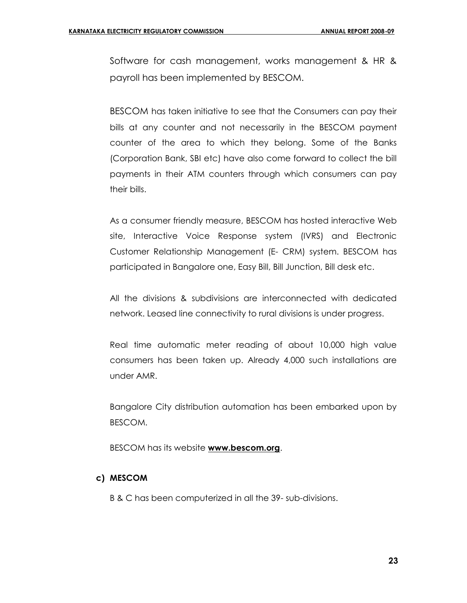Software for cash management, works management & HR & payroll has been implemented by BESCOM.

BESCOM has taken initiative to see that the Consumers can pay their bills at any counter and not necessarily in the BESCOM payment counter of the area to which they belong. Some of the Banks (Corporation Bank, SBI etc) have also come forward to collect the bill payments in their ATM counters through which consumers can pay their bills.

As a consumer friendly measure, BESCOM has hosted interactive Web site, Interactive Voice Response system (IVRS) and Electronic Customer Relationship Management (E- CRM) system. BESCOM has participated in Bangalore one, Easy Bill, Bill Junction, Bill desk etc.

All the divisions & subdivisions are interconnected with dedicated network. Leased line connectivity to rural divisions is under progress.

Real time automatic meter reading of about 10,000 high value consumers has been taken up. Already 4,000 such installations are under AMR.

Bangalore City distribution automation has been embarked upon by BESCOM.

BESCOM has its website **[www.bescom.org](http://www.bescom.org/)**.

## **c) MESCOM**

B & C has been computerized in all the 39- sub-divisions.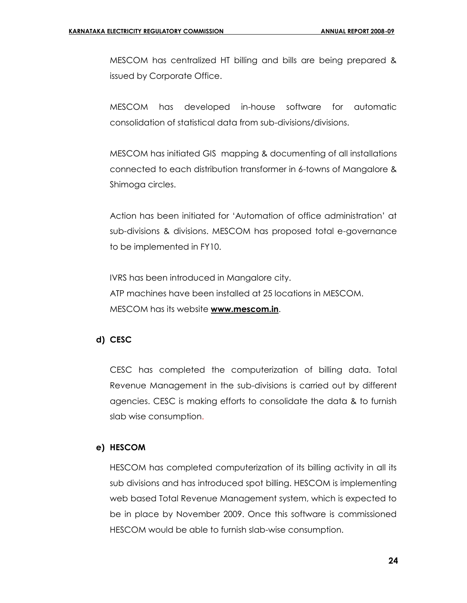MESCOM has centralized HT billing and bills are being prepared & issued by Corporate Office.

MESCOM has developed in-house software for automatic consolidation of statistical data from sub-divisions/divisions.

MESCOM has initiated GIS mapping & documenting of all installations connected to each distribution transformer in 6-towns of Mangalore & Shimoga circles.

Action has been initiated for 'Automation of office administration' at sub-divisions & divisions. MESCOM has proposed total e-governance to be implemented in FY10.

IVRS has been introduced in Mangalore city. ATP machines have been installed at 25 locations in MESCOM. MESCOM has its website **[www.mescom.in](http://www.mescom.in/)**.

#### **d) CESC**

CESC has completed the computerization of billing data. Total Revenue Management in the sub-divisions is carried out by different agencies. CESC is making efforts to consolidate the data & to furnish slab wise consumption.

#### **e) HESCOM**

HESCOM has completed computerization of its billing activity in all its sub divisions and has introduced spot billing. HESCOM is implementing web based Total Revenue Management system, which is expected to be in place by November 2009. Once this software is commissioned HESCOM would be able to furnish slab-wise consumption.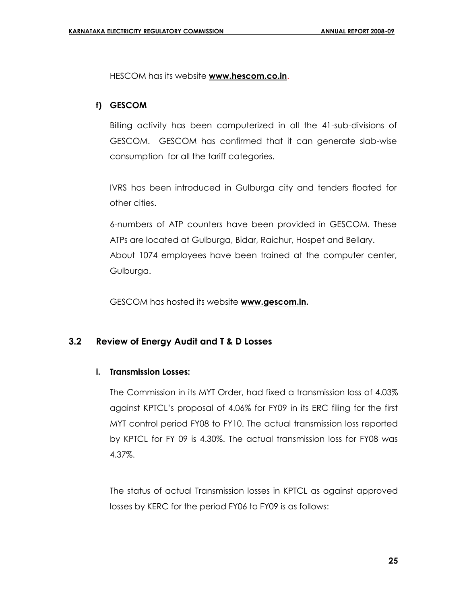HESCOM has its website **[www.hescom.co.in](http://www.hescom.org/)**.

## **f) GESCOM**

Billing activity has been computerized in all the 41-sub-divisions of GESCOM. GESCOM has confirmed that it can generate slab-wise consumption for all the tariff categories.

IVRS has been introduced in Gulburga city and tenders floated for other cities.

6-numbers of ATP counters have been provided in GESCOM. These ATPs are located at Gulburga, Bidar, Raichur, Hospet and Bellary. About 1074 employees have been trained at the computer center, Gulburga.

GESCOM has hosted its website **[www.gescom.in.](http://www.gescom.in/)**

## **3.2 Review of Energy Audit and T & D Losses**

## **i. Transmission Losses:**

The Commission in its MYT Order, had fixed a transmission loss of 4.03% against KPTCL's proposal of 4.06% for FY09 in its ERC filing for the first MYT control period FY08 to FY10. The actual transmission loss reported by KPTCL for FY 09 is 4.30%. The actual transmission loss for FY08 was 4.37%.

The status of actual Transmission losses in KPTCL as against approved losses by KERC for the period FY06 to FY09 is as follows: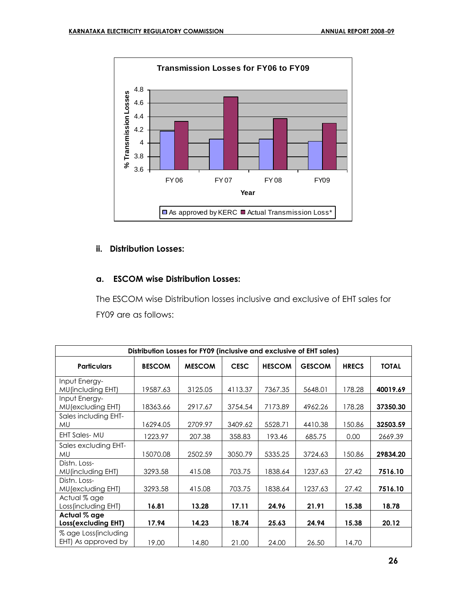

## **ii. Distribution Losses:**

## **a. ESCOM wise Distribution Losses:**

The ESCOM wise Distribution losses inclusive and exclusive of EHT sales for FY09 are as follows:

| Distribution Losses for FY09 (inclusive and exclusive of EHT sales) |               |               |             |               |               |              |              |
|---------------------------------------------------------------------|---------------|---------------|-------------|---------------|---------------|--------------|--------------|
| <b>Particulars</b>                                                  | <b>BESCOM</b> | <b>MESCOM</b> | <b>CESC</b> | <b>HESCOM</b> | <b>GESCOM</b> | <b>HRECS</b> | <b>TOTAL</b> |
| Input Energy-<br><b>MU</b> (including EHT)                          | 19587.63      | 3125.05       | 4113.37     | 7367.35       | 5648.01       | 178.28       | 40019.69     |
| Input Energy-<br>MU(excluding EHT)                                  | 18363.66      | 2917.67       | 3754.54     | 7173.89       | 4962.26       | 178.28       | 37350.30     |
| Sales including EHT-<br><b>MU</b>                                   | 16294.05      | 2709.97       | 3409.62     | 5528.71       | 4410.38       | 150.86       | 32503.59     |
| <b>EHT Sales-MU</b>                                                 | 1223.97       | 207.38        | 358.83      | 193.46        | 685.75        | 0.00         | 2669.39      |
| Sales excluding EHT-<br><b>MU</b>                                   | 15070.08      | 2502.59       | 3050.79     | 5335.25       | 3724.63       | 150.86       | 29834.20     |
| Distn. Loss-<br>MU(including EHT)                                   | 3293.58       | 415.08        | 703.75      | 1838.64       | 1237.63       | 27.42        | 7516.10      |
| Distn. Loss-<br>MU(excluding EHT)                                   | 3293.58       | 415.08        | 703.75      | 1838.64       | 1237.63       | 27.42        | 7516.10      |
| Actual % age<br>Loss (including EHT)                                | 16.81         | 13.28         | 17.11       | 24.96         | 21.91         | 15.38        | 18.78        |
| Actual % age<br>Loss(excluding EHT)                                 | 17.94         | 14.23         | 18.74       | 25.63         | 24.94         | 15.38        | 20.12        |
| % age Loss (including<br>EHT) As approved by                        | 19.00         | 14.80         | 21.00       | 24.00         | 26.50         | 14.70        |              |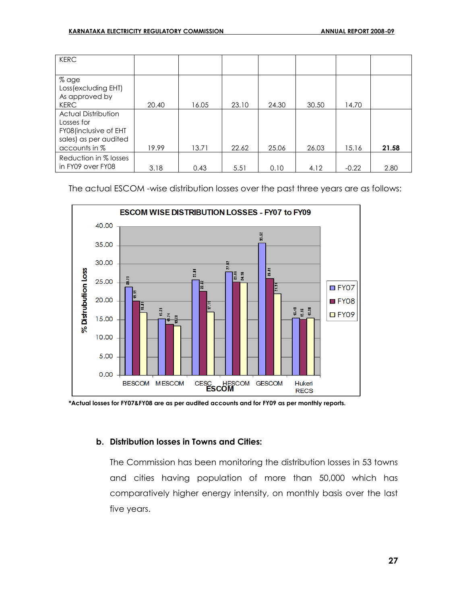| <b>KERC</b>                                                                                                 |       |       |       |       |       |         |       |
|-------------------------------------------------------------------------------------------------------------|-------|-------|-------|-------|-------|---------|-------|
| % age<br>Loss (excluding EHT)<br>As approved by                                                             |       |       |       |       |       |         |       |
| <b>KERC</b>                                                                                                 | 20.40 | 16.05 | 23.10 | 24.30 | 30.50 | 14.70   |       |
| <b>Actual Distribution</b><br>Losses for<br>FY08(inclusive of EHT<br>sales) as per audited<br>accounts in % | 19.99 | 13.71 | 22.62 | 25.06 | 26.03 | 15.16   | 21.58 |
| Reduction in % losses<br>in FY09 over FY08                                                                  | 3.18  | 0.43  | 5.51  | 0.10  | 4.12  | $-0.22$ | 2.80  |

The actual ESCOM -wise distribution losses over the past three years are as follows:



**<sup>\*</sup>Actual losses for FY07&FY08 are as per audited accounts and for FY09 as per monthly reports.**

#### **b. Distribution losses in Towns and Cities:**

The Commission has been monitoring the distribution losses in 53 towns and cities having population of more than 50,000 which has comparatively higher energy intensity, on monthly basis over the last five years.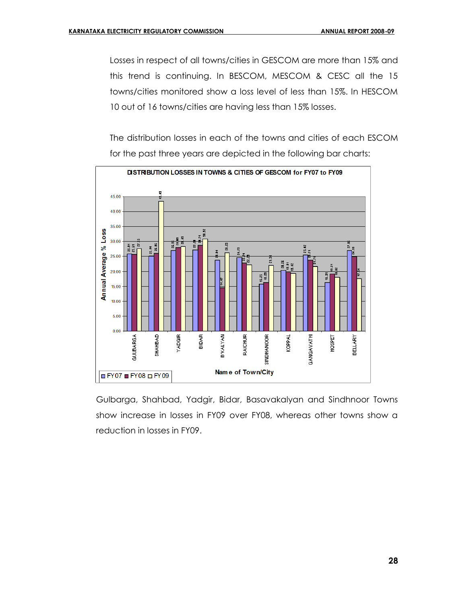Losses in respect of all towns/cities in GESCOM are more than 15% and this trend is continuing. In BESCOM, MESCOM & CESC all the 15 towns/cities monitored show a loss level of less than 15%. In HESCOM 10 out of 16 towns/cities are having less than 15% losses.

The distribution losses in each of the towns and cities of each ESCOM for the past three years are depicted in the following bar charts:



Gulbarga, Shahbad, Yadgir, Bidar, Basavakalyan and Sindhnoor Towns show increase in losses in FY09 over FY08, whereas other towns show a reduction in losses in FY09.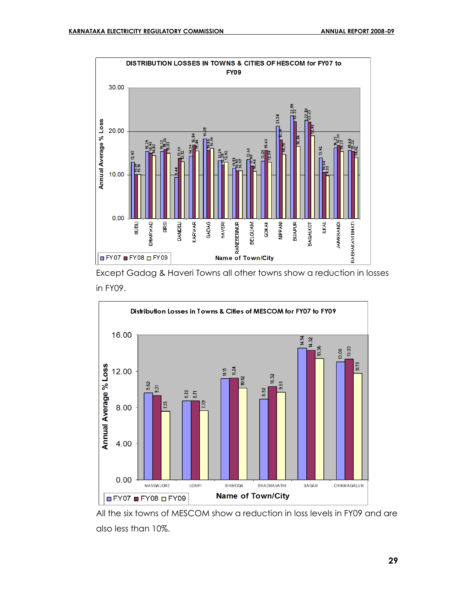

Except Gadag & Haveri Towns all other towns show a reduction in losses in FY09.



All the six towns of MESCOM show a reduction in loss levels in FY09 and are also less than 10%.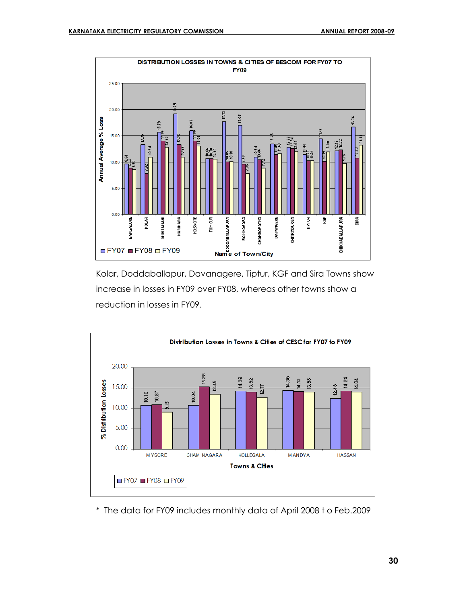

Kolar, Doddaballapur, Davanagere, Tiptur, KGF and Sira Towns show increase in losses in FY09 over FY08, whereas other towns show a reduction in losses in FY09.



\* The data for FY09 includes monthly data of April 2008 t o Feb.2009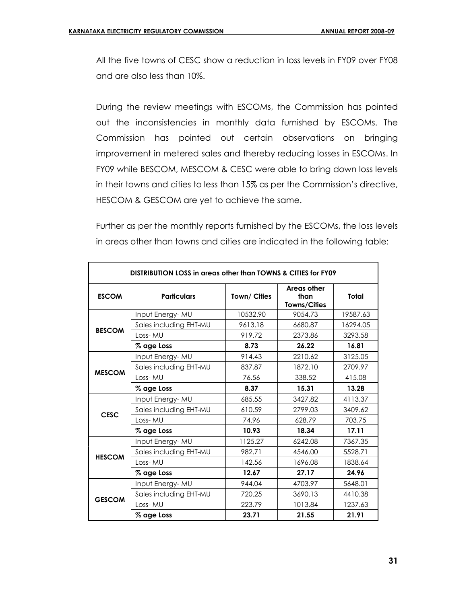All the five towns of CESC show a reduction in loss levels in FY09 over FY08 and are also less than 10%.

During the review meetings with ESCOMs, the Commission has pointed out the inconsistencies in monthly data furnished by ESCOMs. The Commission has pointed out certain observations on bringing improvement in metered sales and thereby reducing losses in ESCOMs. In FY09 while BESCOM, MESCOM & CESC were able to bring down loss levels in their towns and cities to less than 15% as per the Commission's directive, HESCOM & GESCOM are yet to achieve the same.

Further as per the monthly reports furnished by the ESCOMs, the loss levels in areas other than towns and cities are indicated in the following table:

| DISTRIBUTION LOSS in greas other than TOWNS & CITIES for FY09 |                        |             |                                            |          |  |  |  |
|---------------------------------------------------------------|------------------------|-------------|--------------------------------------------|----------|--|--|--|
| <b>ESCOM</b>                                                  | <b>Particulars</b>     | Town/Cities | Areas other<br>than<br><b>Towns/Cities</b> | Total    |  |  |  |
|                                                               | Input Energy-MU        | 10532.90    | 9054.73                                    | 19587.63 |  |  |  |
| <b>BESCOM</b>                                                 | Sales including EHT-MU | 9613.18     | 6680.87                                    | 16294.05 |  |  |  |
|                                                               | Loss-MU                | 919.72      | 2373.86                                    | 3293.58  |  |  |  |
|                                                               | % age Loss             | 8.73        | 26.22                                      | 16.81    |  |  |  |
| <b>MESCOM</b>                                                 | Input Energy-MU        | 914.43      | 2210.62                                    | 3125.05  |  |  |  |
|                                                               | Sales including EHT-MU | 837.87      | 1872.10                                    | 2709.97  |  |  |  |
|                                                               | Loss-MU                | 76.56       | 338.52                                     | 415.08   |  |  |  |
|                                                               | % age Loss             | 8.37        | 15.31                                      | 13.28    |  |  |  |
|                                                               | Input Energy-MU        | 685.55      | 3427.82                                    | 4113.37  |  |  |  |
| <b>CESC</b>                                                   | Sales including EHT-MU | 610.59      | 2799.03                                    | 3409.62  |  |  |  |
|                                                               | Loss-MU                | 74.96       | 628.79                                     | 703.75   |  |  |  |
|                                                               | % age Loss             | 10.93       | 18.34                                      | 17.11    |  |  |  |
|                                                               | Input Energy-MU        | 1125.27     | 6242.08                                    | 7367.35  |  |  |  |
| <b>HESCOM</b>                                                 | Sales including EHT-MU | 982.71      | 4546.00                                    | 5528.71  |  |  |  |
|                                                               | Loss-MU                | 142.56      | 1696.08                                    | 1838.64  |  |  |  |
|                                                               | % age Loss             | 12.67       | 27.17                                      | 24.96    |  |  |  |
|                                                               | Input Energy-MU        | 944.04      | 4703.97                                    | 5648.01  |  |  |  |
|                                                               | Sales including EHT-MU | 720.25      | 3690.13                                    | 4410.38  |  |  |  |
| <b>GESCOM</b>                                                 | Loss-MU                | 223.79      | 1013.84                                    | 1237.63  |  |  |  |
|                                                               | % age Loss             | 23.71       | 21.55                                      | 21.91    |  |  |  |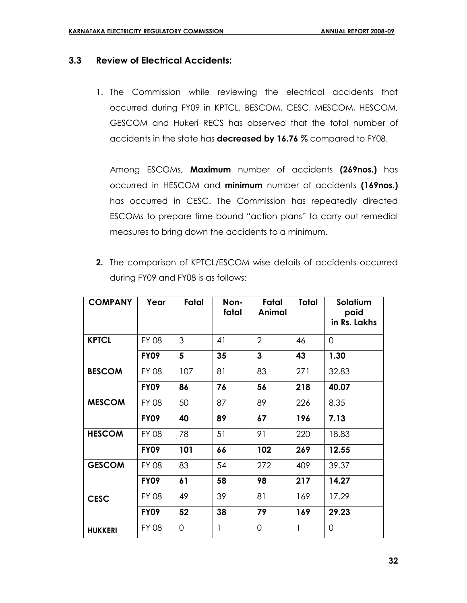## **3.3 Review of Electrical Accidents:**

1. The Commission while reviewing the electrical accidents that occurred during FY09 in KPTCL, BESCOM, CESC, MESCOM, HESCOM, GESCOM and Hukeri RECS has observed that the total number of accidents in the state has **decreased by 16.76 %** compared to FY08.

Among ESCOMs**, Maximum** number of accidents **(269nos.)** has occurred in HESCOM and **minimum** number of accidents **(169nos.)** has occurred in CESC. The Commission has repeatedly directed ESCOMs to prepare time bound "action plans" to carry out remedial measures to bring down the accidents to a minimum.

| <b>2.</b> The comparison of KPTCL/ESCOM wise details of accidents occurred |
|----------------------------------------------------------------------------|
| during FY09 and FY08 is as follows:                                        |

| <b>COMPANY</b> | Year         | Fatal          | Non-<br>fatal | Fatal<br>Animal | <b>Total</b> | Solatium<br>paid<br>in Rs. Lakhs |
|----------------|--------------|----------------|---------------|-----------------|--------------|----------------------------------|
| <b>KPTCL</b>   | <b>FY 08</b> | 3              | 41            | $\overline{2}$  | 46           | 0                                |
|                | <b>FY09</b>  | 5              | 35            | 3               | 43           | 1.30                             |
| <b>BESCOM</b>  | <b>FY 08</b> | 107            | 81            | 83              | 271          | 32.83                            |
|                | <b>FY09</b>  | 86             | 76            | 56              | 218          | 40.07                            |
| <b>MESCOM</b>  | <b>FY 08</b> | 50             | 87            | 89              | 226          | 8.35                             |
|                | <b>FY09</b>  | 40             | 89            | 67              | 196          | 7.13                             |
| <b>HESCOM</b>  | <b>FY 08</b> | 78             | 51            | 91              | 220          | 18.83                            |
|                | <b>FY09</b>  | 101            | 66            | 102             | 269          | 12.55                            |
| <b>GESCOM</b>  | <b>FY 08</b> | 83             | 54            | 272             | 409          | 39.37                            |
|                | <b>FY09</b>  | 61             | 58            | 98              | 217          | 14.27                            |
| <b>CESC</b>    | <b>FY 08</b> | 49             | 39            | 81              | 169          | 17.29                            |
|                | <b>FY09</b>  | 52             | 38            | 79              | 169          | 29.23                            |
| <b>HUKKERI</b> | <b>FY 08</b> | $\overline{0}$ | 1             | 0               | 1            | 0                                |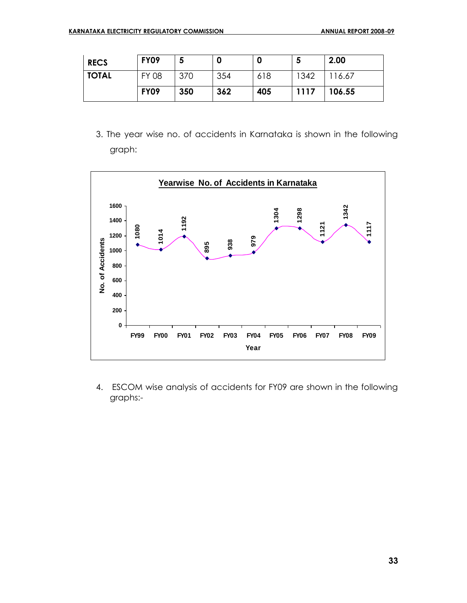| <b>RECS</b>  | <b>FY09</b>  |     | O   | 0   | э    | 2.00   |
|--------------|--------------|-----|-----|-----|------|--------|
| <b>TOTAL</b> | <b>FY 08</b> | 370 | 354 | 618 | 1342 | 116.67 |
|              | <b>FY09</b>  | 350 | 362 | 405 | 1117 | 106.55 |

3. The year wise no. of accidents in Karnataka is shown in the following graph:



4. ESCOM wise analysis of accidents for FY09 are shown in the following graphs:-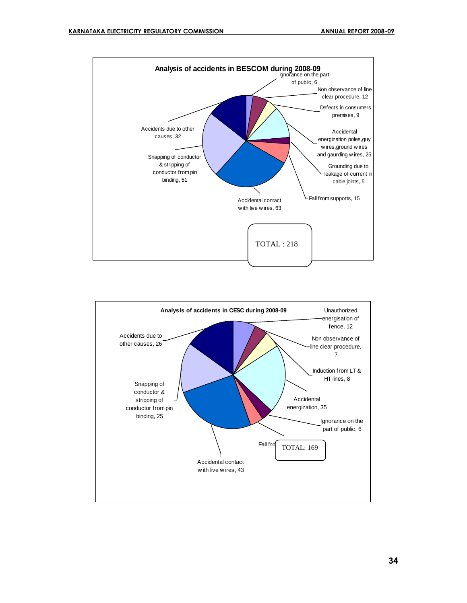



**34**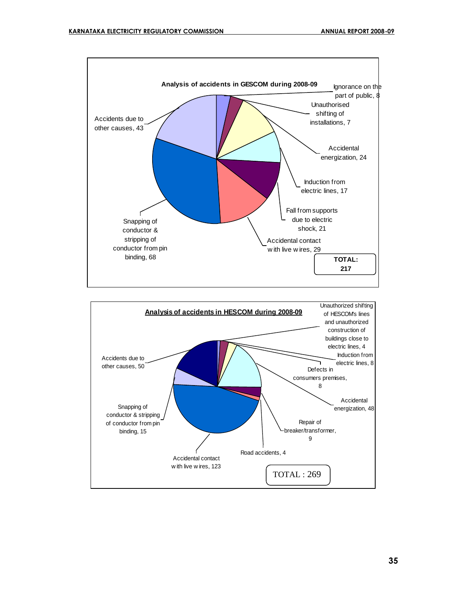

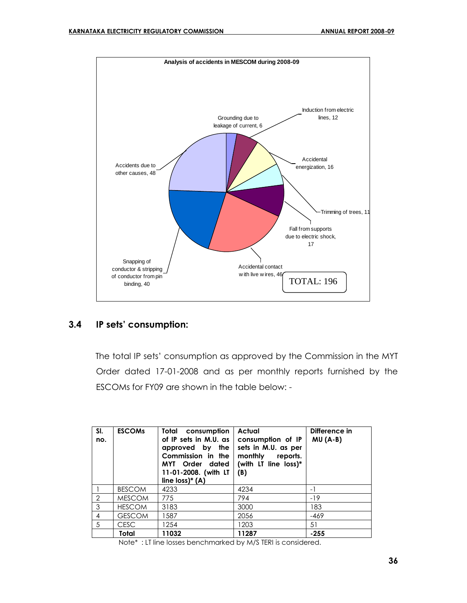

## **3.4 IP sets' consumption:**

 The total IP sets' consumption as approved by the Commission in the MYT Order dated 17-01-2008 and as per monthly reports furnished by the ESCOMs for FY09 are shown in the table below: -

| SI.<br>no.     | <b>ESCOMS</b> | Total consumption<br>of IP sets in M.U. as<br>approved by the<br>Commission in the<br>MYT Order dated<br>11-01-2008. (with LT<br>line $loss$ <sup>*</sup> (A) | Actual<br>consumption of IP<br>sets in M.U. as per<br>monthly<br>reports.<br>(with LT line loss)*<br>(B) | Difference in<br>$MU(A-B)$ |
|----------------|---------------|---------------------------------------------------------------------------------------------------------------------------------------------------------------|----------------------------------------------------------------------------------------------------------|----------------------------|
|                | <b>BESCOM</b> | 4233                                                                                                                                                          | 4234                                                                                                     | $-1$                       |
| $\overline{2}$ | <b>MESCOM</b> | 775                                                                                                                                                           | 794                                                                                                      | $-19$                      |
| 3              | <b>HESCOM</b> | 3183                                                                                                                                                          | 3000                                                                                                     | 183                        |
| $\overline{4}$ | <b>GESCOM</b> | 1587                                                                                                                                                          | 2056                                                                                                     | -469                       |
| .5             | <b>CESC</b>   | 1254                                                                                                                                                          | 1203                                                                                                     | 51                         |
|                | Total         | 11032                                                                                                                                                         | 11287                                                                                                    | $-255$                     |

Note\* : LT line losses benchmarked by M/S TERI is considered.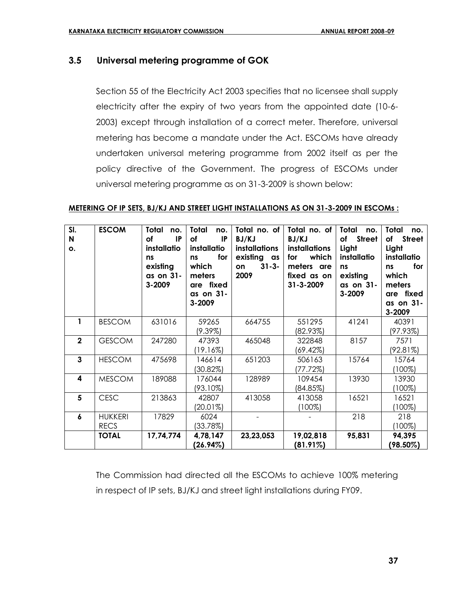# **3.5 Universal metering programme of GOK**

 Section 55 of the Electricity Act 2003 specifies that no licensee shall supply electricity after the expiry of two years from the appointed date (10-6- 2003) except through installation of a correct meter. Therefore, universal metering has become a mandate under the Act. ESCOMs have already undertaken universal metering programme from 2002 itself as per the policy directive of the Government. The progress of ESCOMs under universal metering programme as on 31-3-2009 is shown below:

#### **METERING OF IP SETS, BJ/KJ AND STREET LIGHT INSTALLATIONS AS ON 31-3-2009 IN ESCOMs :**

| SI.<br>N<br>o. | <b>ESCOM</b>                  | <b>Total</b><br>no.<br>IP<br>of<br>installatio<br>ns<br>existing<br>as on 31-<br>3-2009 | <b>Total</b><br>no.<br>of<br>IP<br>installatio<br>for<br><b>ns</b><br>which<br>meters<br>are fixed<br>as on 31-<br>3-2009 | Total no. of<br>BJ/KJ<br><b>installations</b><br>existing as<br>$31 - 3 -$<br>on<br>2009 | Total no. of<br>BJ/KJ<br><b>installations</b><br>which<br>for<br>meters are<br>fixed as on<br>31-3-2009 | <b>Total</b><br>no.<br>of Street<br>Light<br>installatio<br>ns<br>existing<br>as on 31-<br>3-2009 | Total<br>no.<br><b>Street</b><br>of<br>Light<br>installatio<br>for<br>ns<br>which<br>meters<br>are fixed<br>as on 31-<br>3-2009 |
|----------------|-------------------------------|-----------------------------------------------------------------------------------------|---------------------------------------------------------------------------------------------------------------------------|------------------------------------------------------------------------------------------|---------------------------------------------------------------------------------------------------------|---------------------------------------------------------------------------------------------------|---------------------------------------------------------------------------------------------------------------------------------|
| 1              | <b>BESCOM</b>                 | 631016                                                                                  | 59265<br>$(9.39\%)$                                                                                                       | 664755                                                                                   | 551295<br>$(82.93\%)$                                                                                   | 41241                                                                                             | 40391<br>(97.93%)                                                                                                               |
| $\mathbf{2}$   | <b>GESCOM</b>                 | 247280                                                                                  | 47393<br>(19.16%)                                                                                                         | 465048                                                                                   | 322848<br>(69.42%)                                                                                      | 8157                                                                                              | 7571<br>(92.81%)                                                                                                                |
| $\overline{3}$ | <b>HESCOM</b>                 | 475698                                                                                  | 146614<br>(30.82%)                                                                                                        | 651203                                                                                   | 506163<br>(77.72%)                                                                                      | 15764                                                                                             | 15764<br>(100%)                                                                                                                 |
| 4              | <b>MESCOM</b>                 | 189088                                                                                  | 176044<br>(93.10%)                                                                                                        | 128989                                                                                   | 109454<br>(84.85%)                                                                                      | 13930                                                                                             | 13930<br>$100\%)$                                                                                                               |
| 5              | <b>CESC</b>                   | 213863                                                                                  | 42807<br>(20.01%)                                                                                                         | 413058                                                                                   | 413058<br>$100\%$                                                                                       | 16521                                                                                             | 16521<br>$100\%$                                                                                                                |
| 6              | <b>HUKKERI</b><br><b>RECS</b> | 17829                                                                                   | 6024<br>(33.78%)                                                                                                          |                                                                                          |                                                                                                         | 218                                                                                               | 218<br>(100%)                                                                                                                   |
|                | <b>TOTAL</b>                  | 17,74,774                                                                               | 4,78,147<br>(26.94%)                                                                                                      | 23,23,053                                                                                | 19,02,818<br>$(81.91\%)$                                                                                | 95,831                                                                                            | 94,395<br>(98.50%)                                                                                                              |

The Commission had directed all the ESCOMs to achieve 100% metering in respect of IP sets, BJ/KJ and street light installations during FY09.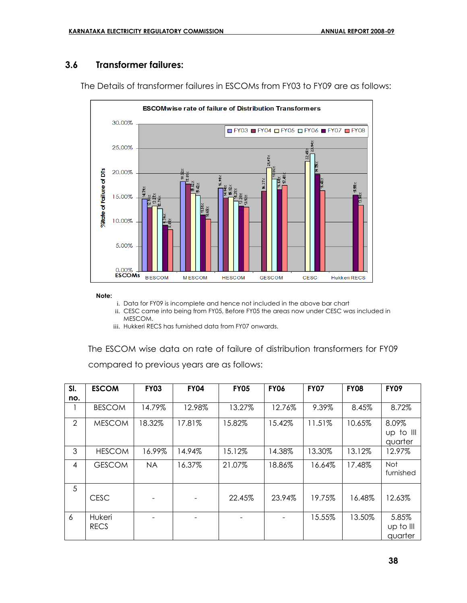# **3.6 Transformer failures:**



The Details of transformer failures in ESCOMs from FY03 to FY09 are as follows:

#### **Note:**

i. Data for FY09 is incomplete and hence not included in the above bar chart

ii. CESC came into being from FY05, Before FY05 the areas now under CESC was included in MESCOM.

iii. Hukkeri RECS has furnished data from FY07 onwards.

The ESCOM wise data on rate of failure of distribution transformers for FY09 compared to previous years are as follows:

| SI. | <b>ESCOM</b>          | <b>FY03</b> | <b>FY04</b> | <b>FY05</b> | <b>FY06</b> | <b>FY07</b> | <b>FY08</b> | <b>FY09</b>                     |
|-----|-----------------------|-------------|-------------|-------------|-------------|-------------|-------------|---------------------------------|
| no. |                       |             |             |             |             |             |             |                                 |
|     | <b>BESCOM</b>         | 14.79%      | 12.98%      | 13.27%      | 12.76%      | 9.39%       | 8.45%       | 8.72%                           |
| 2   | <b>MESCOM</b>         | 18.32%      | 17.81%      | 15.82%      | 15.42%      | 11.51%      | 10.65%      | 8.09%<br>$up$ to III<br>quarter |
| 3   | <b>HESCOM</b>         | 16.99%      | 14.94%      | 15.12%      | 14.38%      | 13.30%      | 13.12%      | 12.97%                          |
| 4   | <b>GESCOM</b>         | <b>NA</b>   | 16.37%      | 21.07%      | 18.86%      | 16.64%      | 17.48%      | <b>Not</b><br>furnished         |
| 5   | <b>CESC</b>           |             |             | 22.45%      | 23.94%      | 19.75%      | 16.48%      | 12.63%                          |
| 6   | Hukeri<br><b>RECS</b> |             |             |             |             | 15.55%      | 13.50%      | 5.85%<br>up to III<br>quarter   |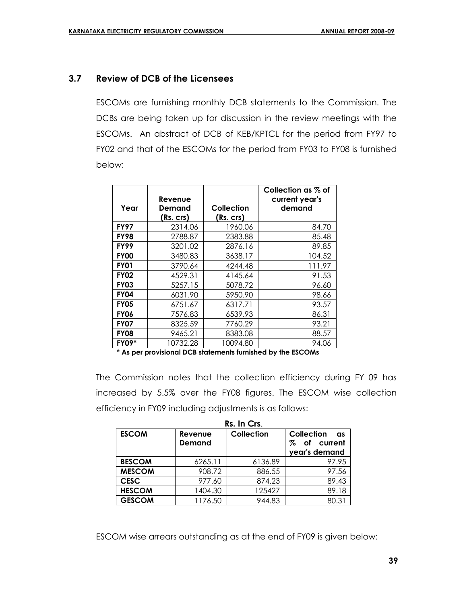# **3.7 Review of DCB of the Licensees**

ESCOMs are furnishing monthly DCB statements to the Commission. The DCBs are being taken up for discussion in the review meetings with the ESCOMs. An abstract of DCB of KEB/KPTCL for the period from FY97 to FY02 and that of the ESCOMs for the period from FY03 to FY08 is furnished below:

| Year         | Revenue<br>Demand<br>(Rs. crs) | Collection<br>(Rs. crs) | Collection as % of<br>current year's<br>demand |
|--------------|--------------------------------|-------------------------|------------------------------------------------|
| <b>FY97</b>  | 2314.06                        | 1960.06                 | 84.70                                          |
| <b>FY98</b>  | 2788.87                        | 2383.88                 | 85.48                                          |
| <b>FY99</b>  | 3201.02                        | 2876.16                 | 89.85                                          |
| <b>FY00</b>  | 3480.83                        | 3638.17                 | 104.52                                         |
| <b>FY01</b>  | 3790.64                        | 4244.48                 | 111.97                                         |
| <b>FY02</b>  | 4529.31                        | 4145.64                 | 91.53                                          |
| <b>FY03</b>  | 5257.15                        | 5078.72                 | 96.60                                          |
| <b>FY04</b>  | 6031.90                        | 5950.90                 | 98.66                                          |
| <b>FY05</b>  | 6751.67                        | 6317.71                 | 93.57                                          |
| <b>FY06</b>  | 7576.83                        | 6539.93                 | 86.31                                          |
| <b>FY07</b>  | 8325.59                        | 7760.29                 | 93.21                                          |
| <b>FY08</b>  | 9465.21                        | 8383.08                 | 88.57                                          |
| <b>FY09*</b> | 10732.28                       | 10094.80                | 94.06                                          |

**\* As per provisional DCB statements furnished by the ESCOMs**

The Commission notes that the collection efficiency during FY 09 has increased by 5.5% over the FY08 figures. The ESCOM wise collection efficiency in FY09 including adjustments is as follows:

|               | Rs. In Crs.              |            |                                        |  |  |
|---------------|--------------------------|------------|----------------------------------------|--|--|
| <b>ESCOM</b>  | Revenue<br><b>Demand</b> | Collection | Collection<br>as<br>Z<br>current<br>οf |  |  |
|               |                          |            | year's demand                          |  |  |
| <b>BESCOM</b> | 6265.11                  | 6136.89    | 97.95                                  |  |  |
| <b>MESCOM</b> | 908.72                   | 886.55     | 97.56                                  |  |  |
| <b>CESC</b>   | 977.60                   | 874.23     | 89.43                                  |  |  |
| <b>HESCOM</b> | 1404.30                  | 125427     | 89.18                                  |  |  |
| <b>GESCOM</b> | 1176.50                  | 944.83     | 80.31                                  |  |  |

ESCOM wise arrears outstanding as at the end of FY09 is given below: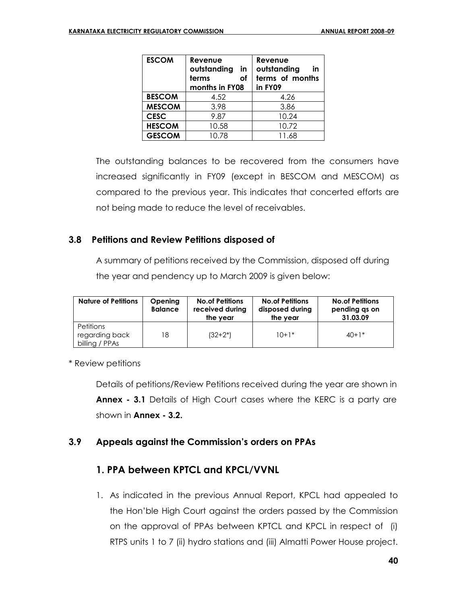| <b>ESCOM</b>  | Revenue<br>outstanding<br>in<br>terms<br>оf<br>months in FY08 | Revenue<br>outstanding<br>in<br>terms of months<br>in FY09 |
|---------------|---------------------------------------------------------------|------------------------------------------------------------|
| <b>BESCOM</b> | 4.52                                                          | 4.26                                                       |
| <b>MESCOM</b> | 3.98                                                          | 3.86                                                       |
| <b>CESC</b>   | 9.87                                                          | 10.24                                                      |
| <b>HESCOM</b> | 10.58                                                         | 10.72                                                      |
| <b>GESCOM</b> | 10.78                                                         | 11.68                                                      |

The outstanding balances to be recovered from the consumers have increased significantly in FY09 (except in BESCOM and MESCOM) as compared to the previous year. This indicates that concerted efforts are not being made to reduce the level of receivables.

# **3.8 Petitions and Review Petitions disposed of**

A summary of petitions received by the Commission, disposed off during the year and pendency up to March 2009 is given below:

| <b>Nature of Petitions</b>                           | Opening<br><b>Balance</b> | <b>No.of Petitions</b><br>received during<br>the vear | <b>No.of Petitions</b><br>disposed during<br>the year | <b>No.of Petitions</b><br>pending qs on<br>31.03.09 |
|------------------------------------------------------|---------------------------|-------------------------------------------------------|-------------------------------------------------------|-----------------------------------------------------|
| <b>Petitions</b><br>regarding back<br>billing / PPAs | 18                        | $(32+2^*)$                                            | $10+1*$                                               | $40+1*$                                             |

\* Review petitions

Details of petitions/Review Petitions received during the year are shown in **Annex - 3.1** Details of High Court cases where the KERC is a party are shown in **Annex - 3.2.**

# **3.9 Appeals against the Commission's orders on PPAs**

# **1. PPA between KPTCL and KPCL/VVNL**

1. As indicated in the previous Annual Report, KPCL had appealed to the Hon'ble High Court against the orders passed by the Commission on the approval of PPAs between KPTCL and KPCL in respect of (i) RTPS units 1 to 7 (ii) hydro stations and (iii) Almatti Power House project.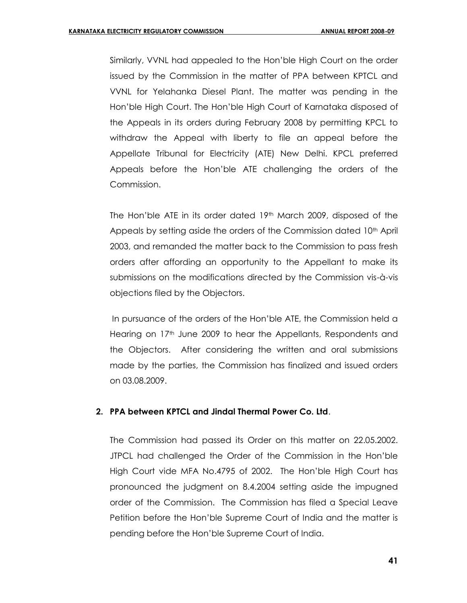Similarly, VVNL had appealed to the Hon'ble High Court on the order issued by the Commission in the matter of PPA between KPTCL and VVNL for Yelahanka Diesel Plant. The matter was pending in the Hon'ble High Court. The Hon'ble High Court of Karnataka disposed of the Appeals in its orders during February 2008 by permitting KPCL to withdraw the Appeal with liberty to file an appeal before the Appellate Tribunal for Electricity (ATE) New Delhi. KPCL preferred Appeals before the Hon'ble ATE challenging the orders of the Commission.

The Hon'ble ATE in its order dated  $19<sup>th</sup>$  March 2009, disposed of the Appeals by setting aside the orders of the Commission dated 10<sup>th</sup> April 2003, and remanded the matter back to the Commission to pass fresh orders after affording an opportunity to the Appellant to make its submissions on the modifications directed by the Commission vis-à-vis objections filed by the Objectors.

In pursuance of the orders of the Hon'ble ATE, the Commission held a Hearing on  $17<sup>th</sup>$  June 2009 to hear the Appellants, Respondents and the Objectors. After considering the written and oral submissions made by the parties, the Commission has finalized and issued orders on 03.08.2009.

#### **2. PPA between KPTCL and Jindal Thermal Power Co. Ltd**.

The Commission had passed its Order on this matter on 22.05.2002. JTPCL had challenged the Order of the Commission in the Hon'ble High Court vide MFA No.4795 of 2002. The Hon'ble High Court has pronounced the judgment on 8.4.2004 setting aside the impugned order of the Commission. The Commission has filed a Special Leave Petition before the Hon'ble Supreme Court of India and the matter is pending before the Hon'ble Supreme Court of India.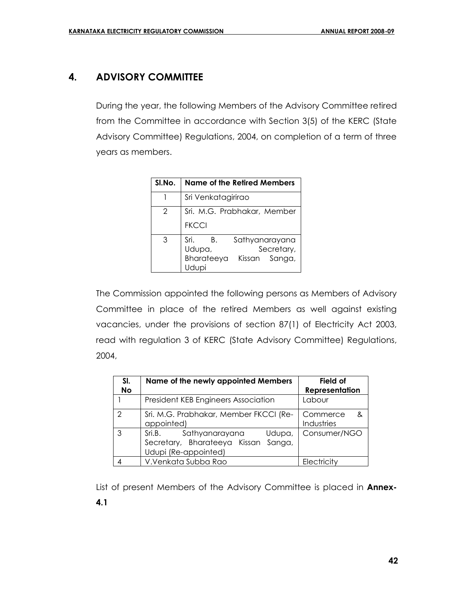# **4. ADVISORY COMMITTEE**

During the year, the following Members of the Advisory Committee retired from the Committee in accordance with Section 3(5) of the KERC (State Advisory Committee) Regulations, 2004, on completion of a term of three years as members.

| SI.No. | <b>Name of the Retired Members</b>                                                  |  |  |
|--------|-------------------------------------------------------------------------------------|--|--|
|        | Sri Venkatagirirao                                                                  |  |  |
|        | Sri. M.G. Prabhakar, Member<br><b>FKCCI</b>                                         |  |  |
| 3      | Sri.<br>Sathyanarayana<br>В.<br>Secretary,<br>Udupa,<br>Bharateeya<br>Kissan Sanga, |  |  |

The Commission appointed the following persons as Members of Advisory Committee in place of the retired Members as well against existing vacancies, under the provisions of section 87(1) of Electricity Act 2003, read with regulation 3 of KERC (State Advisory Committee) Regulations, 2004,

| SI.<br><b>No</b> | Name of the newly appointed Members                                                                  | Field of<br><b>Representation</b> |
|------------------|------------------------------------------------------------------------------------------------------|-----------------------------------|
|                  | President KEB Engineers Association                                                                  | Labour                            |
| $\mathcal{P}$    | Sri. M.G. Prabhakar, Member FKCCI (Re-<br>appointed)                                                 | Commerce<br>&<br>Industries       |
| 3                | Sathyanarayana<br>Sri.B.<br>Udupa,<br>Sanga,<br>Secretary, Bharateeya Kissan<br>Udupi (Re-appointed) | Consumer/NGO                      |
|                  | V.Venkata Subba Rao                                                                                  | Electricity                       |

List of present Members of the Advisory Committee is placed in **Annex-4.1**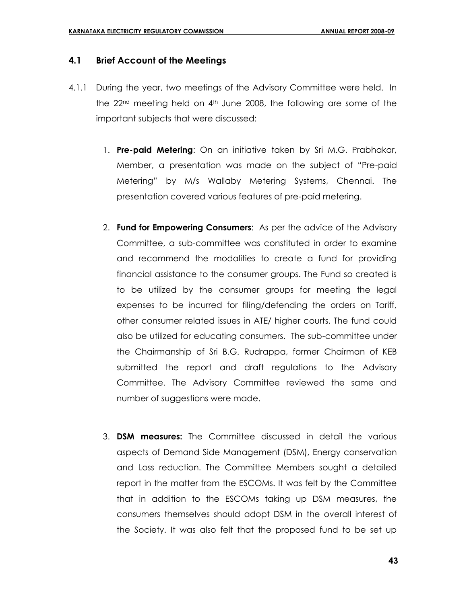#### **4.1 Brief Account of the Meetings**

- 4.1.1 During the year, two meetings of the Advisory Committee were held. In the  $22<sup>nd</sup>$  meeting held on  $4<sup>th</sup>$  June 2008, the following are some of the important subjects that were discussed:
	- 1. **Pre-paid Metering**: On an initiative taken by Sri M.G. Prabhakar, Member, a presentation was made on the subject of "Pre-paid Metering" by M/s Wallaby Metering Systems, Chennai. The presentation covered various features of pre-paid metering.
	- 2. **Fund for Empowering Consumers**: As per the advice of the Advisory Committee, a sub-committee was constituted in order to examine and recommend the modalities to create a fund for providing financial assistance to the consumer groups. The Fund so created is to be utilized by the consumer groups for meeting the legal expenses to be incurred for filing/defending the orders on Tariff, other consumer related issues in ATE/ higher courts. The fund could also be utilized for educating consumers. The sub-committee under the Chairmanship of Sri B.G. Rudrappa, former Chairman of KEB submitted the report and draft regulations to the Advisory Committee. The Advisory Committee reviewed the same and number of suggestions were made.
	- 3. **DSM measures:** The Committee discussed in detail the various aspects of Demand Side Management (DSM), Energy conservation and Loss reduction. The Committee Members sought a detailed report in the matter from the ESCOMs. It was felt by the Committee that in addition to the ESCOMs taking up DSM measures, the consumers themselves should adopt DSM in the overall interest of the Society. It was also felt that the proposed fund to be set up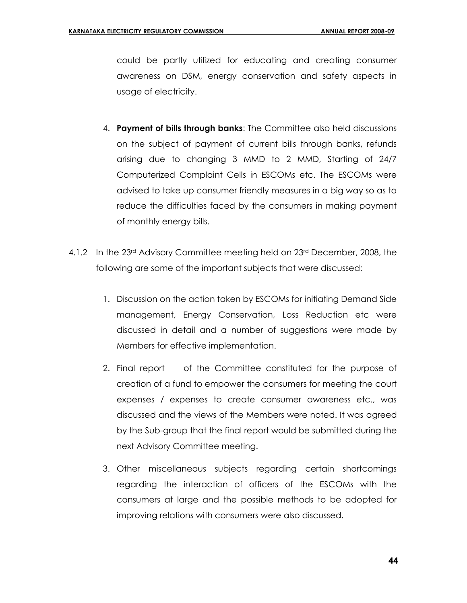could be partly utilized for educating and creating consumer awareness on DSM, energy conservation and safety aspects in usage of electricity.

- 4. **Payment of bills through banks**: The Committee also held discussions on the subject of payment of current bills through banks, refunds arising due to changing 3 MMD to 2 MMD, Starting of 24/7 Computerized Complaint Cells in ESCOMs etc. The ESCOMs were advised to take up consumer friendly measures in a big way so as to reduce the difficulties faced by the consumers in making payment of monthly energy bills.
- 4.1.2 In the 23rd Advisory Committee meeting held on 23rd December, 2008, the following are some of the important subjects that were discussed:
	- 1. Discussion on the action taken by ESCOMs for initiating Demand Side management, Energy Conservation, Loss Reduction etc were discussed in detail and a number of suggestions were made by Members for effective implementation.
	- 2. Final report of the Committee constituted for the purpose of creation of a fund to empower the consumers for meeting the court expenses / expenses to create consumer awareness etc., was discussed and the views of the Members were noted. It was agreed by the Sub-group that the final report would be submitted during the next Advisory Committee meeting.
	- 3. Other miscellaneous subjects regarding certain shortcomings regarding the interaction of officers of the ESCOMs with the consumers at large and the possible methods to be adopted for improving relations with consumers were also discussed.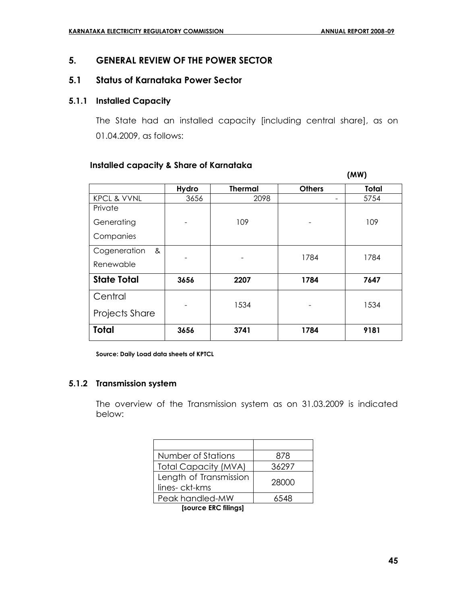# **5. GENERAL REVIEW OF THE POWER SECTOR**

#### **5.1 Status of Karnataka Power Sector**

#### **5.1.1 Installed Capacity**

The State had an installed capacity [including central share], as on 01.04.2009, as follows:

#### **Installed capacity & Share of Karnataka**

|                        |       |                |               | (MW)         |
|------------------------|-------|----------------|---------------|--------------|
|                        | Hydro | <b>Thermal</b> | <b>Others</b> | <b>Total</b> |
| <b>KPCL &amp; VVNL</b> | 3656  | 2098           |               | 5754         |
| Private                |       |                |               |              |
| Generating             |       | 109            |               | 109          |
| Companies              |       |                |               |              |
| Cogeneration<br>&      |       |                | 1784          | 1784         |
| Renewable              |       |                |               |              |
| <b>State Total</b>     | 3656  | 2207           | 1784          | 7647         |
| Central                |       | 1534           |               | 1534         |
| Projects Share         |       |                |               |              |
| <b>Total</b>           | 3656  | 3741           | 1784          | 9181         |

**Source: Daily Load data sheets of KPTCL**

#### **5.1.2 Transmission system**

The overview of the Transmission system as on 31.03.2009 is indicated below:

| Number of Stations                      | 878   |
|-----------------------------------------|-------|
| <b>Total Capacity (MVA)</b>             | 36297 |
| Length of Transmission<br>lines-ckt-kms | 28000 |
| Peak handled-MW                         | 6548  |

 **[source ERC filings]**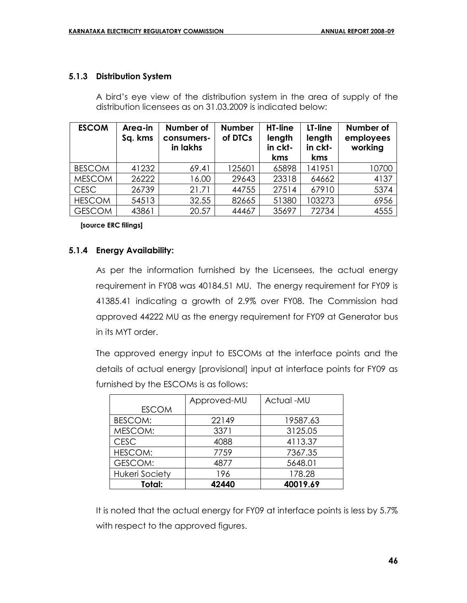#### **5.1.3 Distribution System**

A bird's eye view of the distribution system in the area of supply of the distribution licensees as on 31.03.2009 is indicated below:

| <b>ESCOM</b>  | Area-in<br>Sq. kms | Number of<br>consumers-<br>in lakhs | <b>Number</b><br>of DTCs | HT-line<br>length<br>in ckt-<br>kms | LT-line<br>length<br>in ckt-<br>kms | Number of<br>employees<br>working |
|---------------|--------------------|-------------------------------------|--------------------------|-------------------------------------|-------------------------------------|-----------------------------------|
| <b>BESCOM</b> | 41232              | 69.41                               | 125601                   | 65898                               | 141951                              | 10700                             |
| <b>MESCOM</b> | 26222              | 16.00                               | 29643                    | 23318                               | 64662                               | 4137                              |
| <b>CESC</b>   | 26739              | 21.71                               | 44755                    | 27514                               | 67910                               | 5374                              |
| <b>HESCOM</b> | 54513              | 32.55                               | 82665                    | 51380                               | 103273                              | 6956                              |
| <b>GESCOM</b> | 43861              | 20.57                               | 44467                    | 35697                               | 72734                               | 4555                              |

 **[source ERC filings]**

### **5.1.4 Energy Availability:**

As per the information furnished by the Licensees, the actual energy requirement in FY08 was 40184.51 MU. The energy requirement for FY09 is 41385.41 indicating a growth of 2.9% over FY08. The Commission had approved 44222 MU as the energy requirement for FY09 at Generator bus in its MYT order.

The approved energy input to ESCOMs at the interface points and the details of actual energy [provisional] input at interface points for FY09 as furnished by the ESCOMs is as follows:

|                       | Approved-MU | Actual -MU |
|-----------------------|-------------|------------|
| <b>ESCOM</b>          |             |            |
| <b>BESCOM:</b>        | 22149       | 19587.63   |
| MESCOM:               | 3371        | 3125.05    |
| <b>CESC</b>           | 4088        | 4113.37    |
| <b>HESCOM:</b>        | 7759        | 7367.35    |
| GESCOM:               | 4877        | 5648.01    |
| <b>Hukeri Society</b> | 196         | 178.28     |
| Total:                | 42440       | 40019.69   |

It is noted that the actual energy for FY09 at interface points is less by 5.7% with respect to the approved figures.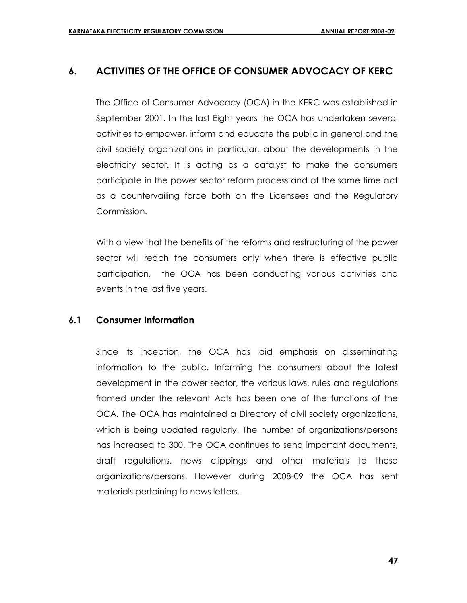# **6. ACTIVITIES OF THE OFFICE OF CONSUMER ADVOCACY OF KERC**

The Office of Consumer Advocacy (OCA) in the KERC was established in September 2001. In the last Eight years the OCA has undertaken several activities to empower, inform and educate the public in general and the civil society organizations in particular, about the developments in the electricity sector. It is acting as a catalyst to make the consumers participate in the power sector reform process and at the same time act as a countervailing force both on the Licensees and the Regulatory Commission.

With a view that the benefits of the reforms and restructuring of the power sector will reach the consumers only when there is effective public participation, the OCA has been conducting various activities and events in the last five years.

# **6.1 Consumer Information**

Since its inception, the OCA has laid emphasis on disseminating information to the public. Informing the consumers about the latest development in the power sector, the various laws, rules and regulations framed under the relevant Acts has been one of the functions of the OCA. The OCA has maintained a Directory of civil society organizations, which is being updated regularly. The number of organizations/persons has increased to 300. The OCA continues to send important documents, draft regulations, news clippings and other materials to these organizations/persons. However during 2008-09 the OCA has sent materials pertaining to news letters.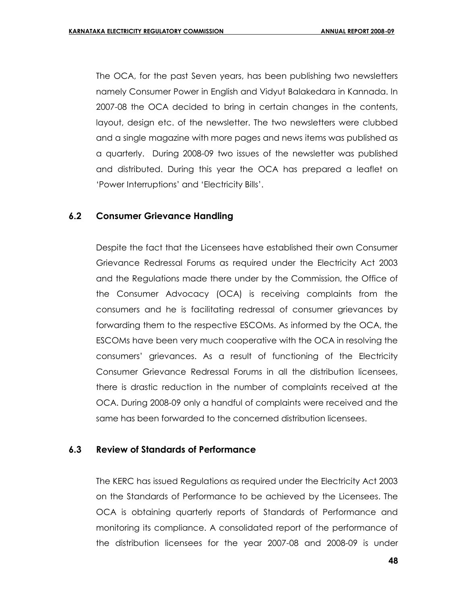The OCA, for the past Seven years, has been publishing two newsletters namely Consumer Power in English and Vidyut Balakedara in Kannada. In 2007-08 the OCA decided to bring in certain changes in the contents, layout, design etc. of the newsletter. The two newsletters were clubbed and a single magazine with more pages and news items was published as a quarterly. During 2008-09 two issues of the newsletter was published and distributed. During this year the OCA has prepared a leaflet on 'Power Interruptions' and 'Electricity Bills'.

### **6.2 Consumer Grievance Handling**

Despite the fact that the Licensees have established their own Consumer Grievance Redressal Forums as required under the Electricity Act 2003 and the Regulations made there under by the Commission, the Office of the Consumer Advocacy (OCA) is receiving complaints from the consumers and he is facilitating redressal of consumer grievances by forwarding them to the respective ESCOMs. As informed by the OCA, the ESCOMs have been very much cooperative with the OCA in resolving the consumers' grievances. As a result of functioning of the Electricity Consumer Grievance Redressal Forums in all the distribution licensees, there is drastic reduction in the number of complaints received at the OCA. During 2008-09 only a handful of complaints were received and the same has been forwarded to the concerned distribution licensees.

#### **6.3 Review of Standards of Performance**

The KERC has issued Regulations as required under the Electricity Act 2003 on the Standards of Performance to be achieved by the Licensees. The OCA is obtaining quarterly reports of Standards of Performance and monitoring its compliance. A consolidated report of the performance of the distribution licensees for the year 2007-08 and 2008-09 is under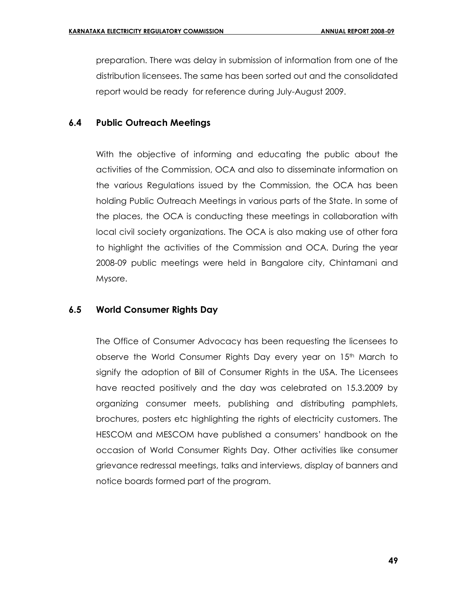preparation. There was delay in submission of information from one of the distribution licensees. The same has been sorted out and the consolidated report would be ready for reference during July-August 2009.

# **6.4 Public Outreach Meetings**

With the objective of informing and educating the public about the activities of the Commission, OCA and also to disseminate information on the various Regulations issued by the Commission, the OCA has been holding Public Outreach Meetings in various parts of the State. In some of the places, the OCA is conducting these meetings in collaboration with local civil society organizations. The OCA is also making use of other fora to highlight the activities of the Commission and OCA. During the year 2008-09 public meetings were held in Bangalore city, Chintamani and Mysore.

# **6.5 World Consumer Rights Day**

The Office of Consumer Advocacy has been requesting the licensees to observe the World Consumer Rights Day every year on  $15<sup>th</sup>$  March to signify the adoption of Bill of Consumer Rights in the USA. The Licensees have reacted positively and the day was celebrated on 15.3.2009 by organizing consumer meets, publishing and distributing pamphlets, brochures, posters etc highlighting the rights of electricity customers. The HESCOM and MESCOM have published a consumers' handbook on the occasion of World Consumer Rights Day. Other activities like consumer grievance redressal meetings, talks and interviews, display of banners and notice boards formed part of the program.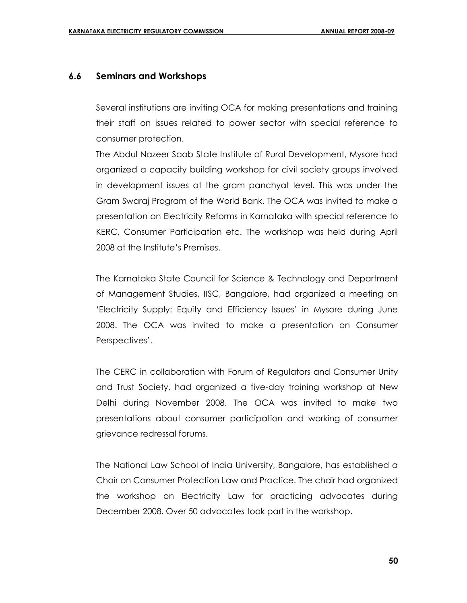### **6.6 Seminars and Workshops**

Several institutions are inviting OCA for making presentations and training their staff on issues related to power sector with special reference to consumer protection.

The Abdul Nazeer Saab State Institute of Rural Development, Mysore had organized a capacity building workshop for civil society groups involved in development issues at the gram panchyat level. This was under the Gram Swaraj Program of the World Bank. The OCA was invited to make a presentation on Electricity Reforms in Karnataka with special reference to KERC, Consumer Participation etc. The workshop was held during April 2008 at the Institute's Premises.

The Karnataka State Council for Science & Technology and Department of Management Studies, IISC, Bangalore, had organized a meeting on 'Electricity Supply: Equity and Efficiency Issues' in Mysore during June 2008. The OCA was invited to make a presentation on Consumer Perspectives'.

The CERC in collaboration with Forum of Regulators and Consumer Unity and Trust Society, had organized a five-day training workshop at New Delhi during November 2008. The OCA was invited to make two presentations about consumer participation and working of consumer grievance redressal forums.

The National Law School of India University, Bangalore, has established a Chair on Consumer Protection Law and Practice. The chair had organized the workshop on Electricity Law for practicing advocates during December 2008. Over 50 advocates took part in the workshop.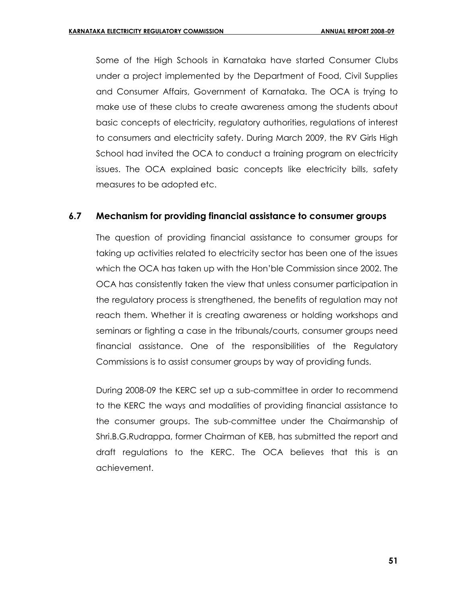Some of the High Schools in Karnataka have started Consumer Clubs under a project implemented by the Department of Food, Civil Supplies and Consumer Affairs, Government of Karnataka. The OCA is trying to make use of these clubs to create awareness among the students about basic concepts of electricity, regulatory authorities, regulations of interest to consumers and electricity safety. During March 2009, the RV Girls High School had invited the OCA to conduct a training program on electricity issues. The OCA explained basic concepts like electricity bills, safety measures to be adopted etc.

### **6.7 Mechanism for providing financial assistance to consumer groups**

The question of providing financial assistance to consumer groups for taking up activities related to electricity sector has been one of the issues which the OCA has taken up with the Hon'ble Commission since 2002. The OCA has consistently taken the view that unless consumer participation in the regulatory process is strengthened, the benefits of regulation may not reach them. Whether it is creating awareness or holding workshops and seminars or fighting a case in the tribunals/courts, consumer groups need financial assistance. One of the responsibilities of the Regulatory Commissions is to assist consumer groups by way of providing funds.

During 2008-09 the KERC set up a sub-committee in order to recommend to the KERC the ways and modalities of providing financial assistance to the consumer groups. The sub-committee under the Chairmanship of Shri.B.G.Rudrappa, former Chairman of KEB, has submitted the report and draft regulations to the KERC. The OCA believes that this is an achievement.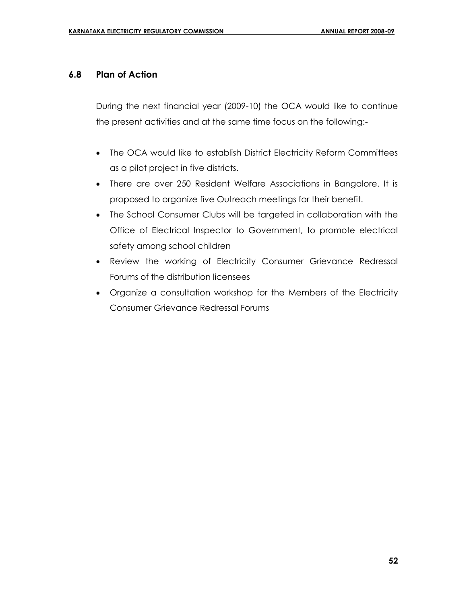# **6.8 Plan of Action**

During the next financial year (2009-10) the OCA would like to continue the present activities and at the same time focus on the following:-

- The OCA would like to establish District Electricity Reform Committees as a pilot project in five districts.
- There are over 250 Resident Welfare Associations in Bangalore. It is proposed to organize five Outreach meetings for their benefit.
- The School Consumer Clubs will be targeted in collaboration with the Office of Electrical Inspector to Government, to promote electrical safety among school children
- Review the working of Electricity Consumer Grievance Redressal Forums of the distribution licensees
- Organize a consultation workshop for the Members of the Electricity Consumer Grievance Redressal Forums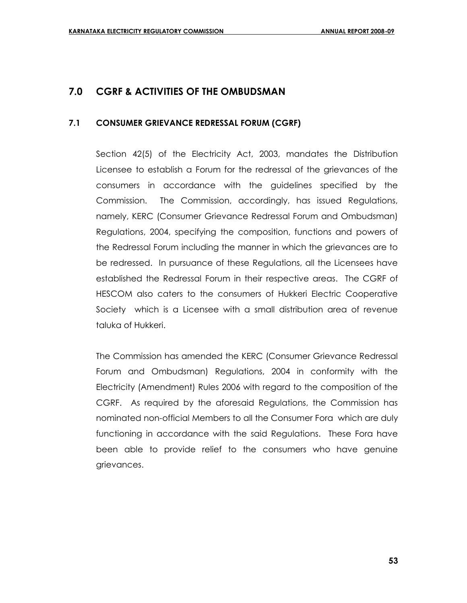# **7.0 CGRF & ACTIVITIES OF THE OMBUDSMAN**

### **7.1 CONSUMER GRIEVANCE REDRESSAL FORUM (CGRF)**

Section 42(5) of the Electricity Act, 2003, mandates the Distribution Licensee to establish a Forum for the redressal of the grievances of the consumers in accordance with the guidelines specified by the Commission. The Commission, accordingly, has issued Regulations, namely, KERC (Consumer Grievance Redressal Forum and Ombudsman) Regulations, 2004, specifying the composition, functions and powers of the Redressal Forum including the manner in which the grievances are to be redressed. In pursuance of these Regulations, all the Licensees have established the Redressal Forum in their respective areas. The CGRF of HESCOM also caters to the consumers of Hukkeri Electric Cooperative Society which is a Licensee with a small distribution area of revenue taluka of Hukkeri.

The Commission has amended the KERC (Consumer Grievance Redressal Forum and Ombudsman) Regulations, 2004 in conformity with the Electricity (Amendment) Rules 2006 with regard to the composition of the CGRF. As required by the aforesaid Regulations, the Commission has nominated non-official Members to all the Consumer Fora which are duly functioning in accordance with the said Regulations. These Fora have been able to provide relief to the consumers who have genuine grievances.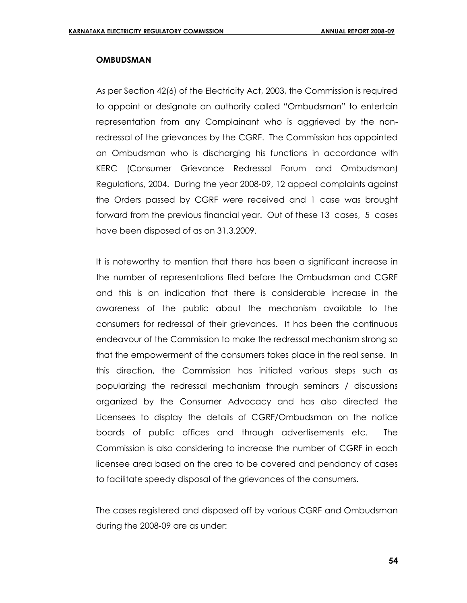#### **OMBUDSMAN**

As per Section 42(6) of the Electricity Act, 2003, the Commission is required to appoint or designate an authority called "Ombudsman" to entertain representation from any Complainant who is aggrieved by the nonredressal of the grievances by the CGRF. The Commission has appointed an Ombudsman who is discharging his functions in accordance with KERC (Consumer Grievance Redressal Forum and Ombudsman) Regulations, 2004. During the year 2008-09, 12 appeal complaints against the Orders passed by CGRF were received and 1 case was brought forward from the previous financial year. Out of these 13 cases, 5 cases have been disposed of as on 31.3.2009.

It is noteworthy to mention that there has been a significant increase in the number of representations filed before the Ombudsman and CGRF and this is an indication that there is considerable increase in the awareness of the public about the mechanism available to the consumers for redressal of their grievances. It has been the continuous endeavour of the Commission to make the redressal mechanism strong so that the empowerment of the consumers takes place in the real sense. In this direction, the Commission has initiated various steps such as popularizing the redressal mechanism through seminars / discussions organized by the Consumer Advocacy and has also directed the Licensees to display the details of CGRF/Ombudsman on the notice boards of public offices and through advertisements etc. The Commission is also considering to increase the number of CGRF in each licensee area based on the area to be covered and pendancy of cases to facilitate speedy disposal of the grievances of the consumers.

The cases registered and disposed off by various CGRF and Ombudsman during the 2008-09 are as under: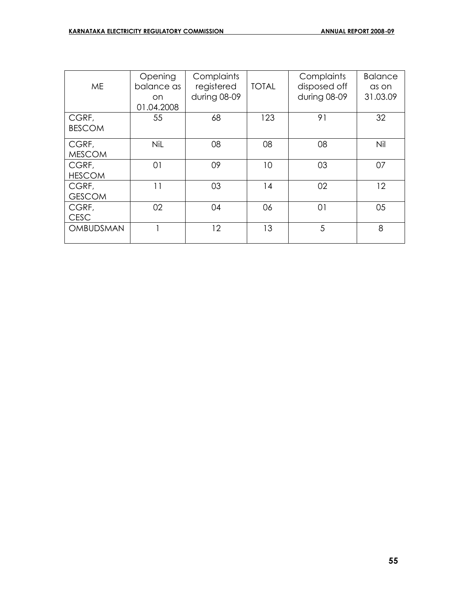| <b>ME</b>              | Opening<br>balance as<br>on.<br>01.04.2008 | Complaints<br>registered<br>during 08-09 | <b>TOTAL</b> | Complaints<br>disposed off<br>during 08-09 | <b>Balance</b><br>as on<br>31.03.09 |
|------------------------|--------------------------------------------|------------------------------------------|--------------|--------------------------------------------|-------------------------------------|
| CGRF,<br><b>BESCOM</b> | 55                                         | 68                                       | 123          | 91                                         | 32                                  |
| CGRF,<br><b>MESCOM</b> | <b>NiL</b>                                 | 08                                       | 08           | 08                                         | Nil                                 |
| CGRF,<br><b>HESCOM</b> | 01                                         | 09                                       | 10           | 03                                         | 07                                  |
| CGRF,<br><b>GESCOM</b> | 11                                         | 03                                       | 14           | 02                                         | 12                                  |
| CGRF,<br><b>CESC</b>   | 02                                         | 04                                       | 06           | 01                                         | 05                                  |
| OMBUDSMAN              |                                            | 12                                       | 13           | 5                                          | 8                                   |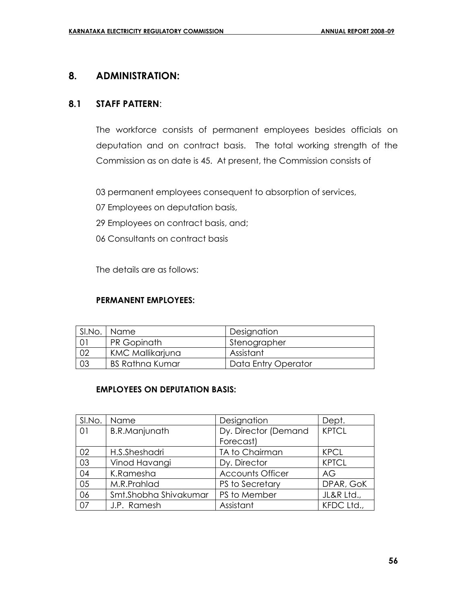# **8. ADMINISTRATION:**

### **8.1 STAFF PATTERN**:

The workforce consists of permanent employees besides officials on deputation and on contract basis. The total working strength of the Commission as on date is 45. At present, the Commission consists of

03 permanent employees consequent to absorption of services,

- 07 Employees on deputation basis,
- 29 Employees on contract basis, and;
- 06 Consultants on contract basis

The details are as follows:

#### **PERMANENT EMPLOYEES:**

| SI.No. | Name                    | Designation         |
|--------|-------------------------|---------------------|
|        | PR Gopinath             | Stenographer        |
| 02     | <b>KMC Mallikarjuna</b> | Assistant           |
| 03     | <b>BS Rathna Kumar</b>  | Data Entry Operator |

### **EMPLOYEES ON DEPUTATION BASIS:**

| SI.No. | Name                  | Designation             | Dept.        |
|--------|-----------------------|-------------------------|--------------|
| 01     | <b>B.R.Manjunath</b>  | Dy. Director (Demand    | <b>KPTCL</b> |
|        |                       | Forecast)               |              |
| 02     | H.S.Sheshadri         | TA to Chairman          | <b>KPCL</b>  |
| 03     | Vinod Havangi         | Dy. Director            | <b>KPTCL</b> |
| 04     | K.Ramesha             | <b>Accounts Officer</b> | AG           |
| 05     | M.R.Prahlad           | PS to Secretary         | DPAR, GoK    |
| 06     | Smt.Shobha Shivakumar | PS to Member            | JL&R Ltd.,   |
| 07     | J.P. Ramesh           | Assistant               | KFDC Ltd.,   |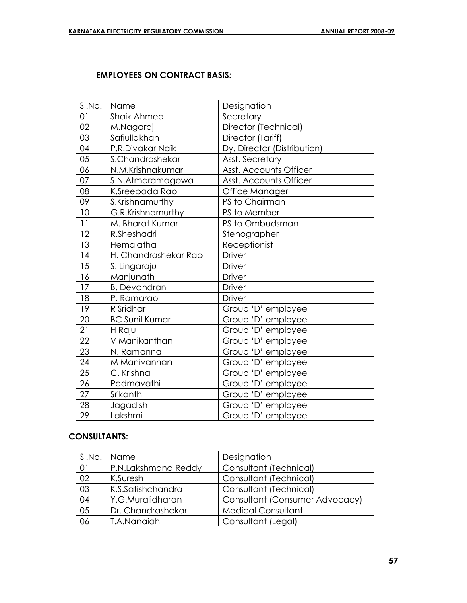# **EMPLOYEES ON CONTRACT BASIS:**

| SI.No.          | Name                  | Designation                 |
|-----------------|-----------------------|-----------------------------|
| 01              | Shaik Ahmed           | Secretary                   |
| 02              | M.Nagaraj             | Director (Technical)        |
| 03              | Safiullakhan          | Director (Tariff)           |
| 04              | P.R.Divakar Naik      | Dy. Director (Distribution) |
| 05              | S.Chandrashekar       | Asst. Secretary             |
| 06              | N.M.Krishnakumar      | Asst. Accounts Officer      |
| 07              | S.N.Atmaramagowa      | Asst. Accounts Officer      |
| 08              | K.Sreepada Rao        | Office Manager              |
| 09              | S.Krishnamurthy       | PS to Chairman              |
| 10              | G.R.Krishnamurthy     | PS to Member                |
| 11              | M. Bharat Kumar       | PS to Ombudsman             |
| 12              | R.Sheshadri           | Stenographer                |
| 13              | Hemalatha             | Receptionist                |
| 14              | H. Chandrashekar Rao  | <b>Driver</b>               |
| 15              | S. Lingaraju          | <b>Driver</b>               |
| 16              | Manjunath             | <b>Driver</b>               |
| 17              | <b>B.</b> Devandran   | <b>Driver</b>               |
| 18              | P. Ramarao            | <b>Driver</b>               |
| 19              | R Sridhar             | Group 'D' employee          |
| 20              | <b>BC Sunil Kumar</b> | Group 'D' employee          |
| 21              | H Raju                | Group 'D' employee          |
| 22              | V Manikanthan         | Group 'D' employee          |
| 23              | N. Ramanna            | Group 'D' employee          |
| $\overline{24}$ | M Manivannan          | Group 'D' employee          |
| 25              | C. Krishna            | Group 'D' employee          |
| $\overline{26}$ | Padmavathi            | Group 'D' employee          |
| 27              | Srikanth              | Group 'D' employee          |
| 28              | Jagadish              | Group 'D' employee          |
| 29              | Lakshmi               | Group 'D' employee          |

# **CONSULTANTS:**

|                 | SI.No.   Name       | Designation                    |
|-----------------|---------------------|--------------------------------|
| 01              | P.N.Lakshmana Reddy | Consultant (Technical)         |
| 02              | K.Suresh            | Consultant (Technical)         |
| $\overline{03}$ | K.S.Satishchandra   | Consultant (Technical)         |
| 04              | Y.G.Muralidharan    | Consultant (Consumer Advocacy) |
| 05              | Dr. Chandrashekar   | <b>Medical Consultant</b>      |
| 06              | T.A.Nanaiah         | Consultant (Legal)             |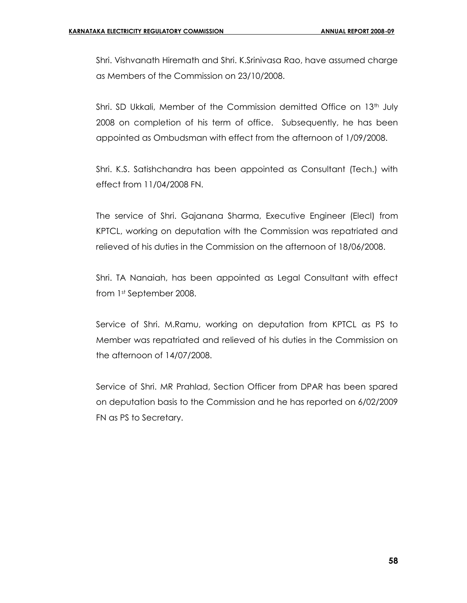Shri. Vishvanath Hiremath and Shri. K.Srinivasa Rao, have assumed charge as Members of the Commission on 23/10/2008.

Shri. SD Ukkali, Member of the Commission demitted Office on  $13<sup>th</sup>$  July 2008 on completion of his term of office. Subsequently, he has been appointed as Ombudsman with effect from the afternoon of 1/09/2008.

Shri. K.S. Satishchandra has been appointed as Consultant (Tech.) with effect from 11/04/2008 FN.

The service of Shri. Gajanana Sharma, Executive Engineer (Elecl) from KPTCL, working on deputation with the Commission was repatriated and relieved of his duties in the Commission on the afternoon of 18/06/2008.

Shri. TA Nanaiah, has been appointed as Legal Consultant with effect from 1st September 2008.

Service of Shri. M.Ramu, working on deputation from KPTCL as PS to Member was repatriated and relieved of his duties in the Commission on the afternoon of 14/07/2008.

Service of Shri. MR Prahlad, Section Officer from DPAR has been spared on deputation basis to the Commission and he has reported on 6/02/2009 FN as PS to Secretary.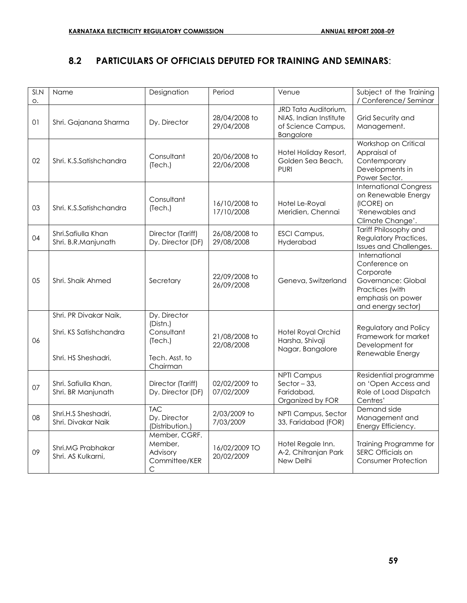# **8.2 PARTICULARS OF OFFICIALS DEPUTED FOR TRAINING AND SEMINARS**:

| SIN | Name                                                                    | Designation                                                                     | Period                      | Venue                                                                             | Subject of the Training                                                                                                         |
|-----|-------------------------------------------------------------------------|---------------------------------------------------------------------------------|-----------------------------|-----------------------------------------------------------------------------------|---------------------------------------------------------------------------------------------------------------------------------|
| О.  |                                                                         |                                                                                 |                             |                                                                                   | / Conference/ Seminar                                                                                                           |
| 01  | Shri. Gajanana Sharma                                                   | Dy. Director                                                                    | 28/04/2008 to<br>29/04/2008 | JRD Tata Auditorium,<br>NIAS, Indian Institute<br>of Science Campus,<br>Bangalore | Grid Security and<br>Management.                                                                                                |
| 02  | Shri, K.S.Satishchandra                                                 | Consultant<br>(Tech.)                                                           | 20/06/2008 to<br>22/06/2008 | Hotel Holiday Resort,<br>Golden Sea Beach,<br><b>PURI</b>                         | Workshop on Critical<br>Appraisal of<br>Contemporary<br>Developments in<br>Power Sector.                                        |
| 03  | Shri. K.S.Satishchandra                                                 | Consultant<br>(Tech.)                                                           | 16/10/2008 to<br>17/10/2008 | Hotel Le-Royal<br>Meridien, Chennai                                               | <b>International Congress</b><br>on Renewable Energy<br>(ICORE) on<br>'Renewables and<br>Climate Change'.                       |
| 04  | Shri.Safiulla Khan<br>Shri. B.R.Manjunath                               | Director (Tariff)<br>Dy. Director (DF)                                          | 26/08/2008 to<br>29/08/2008 | <b>ESCI Campus,</b><br>Hyderabad                                                  | Tariff Philosophy and<br>Regulatory Practices,<br>Issues and Challenges.                                                        |
| 05  | Shri, Shaik Ahmed                                                       | Secretary                                                                       | 22/09/2008 to<br>26/09/2008 | Geneva, Switzerland                                                               | International<br>Conference on<br>Corporate<br>Governance: Global<br>Practices (with<br>emphasis on power<br>and energy sector) |
| 06  | Shri. PR Divakar Naik,<br>Shri. KS Satishchandra<br>Shri. HS Sheshadri, | Dy. Director<br>(Distn.)<br>Consultant<br>(Tech.)<br>Tech. Asst. to<br>Chairman | 21/08/2008 to<br>22/08/2008 | Hotel Royal Orchid<br>Harsha, Shivaji<br>Nagar, Bangalore                         | Regulatory and Policy<br>Framework for market<br>Development for<br>Renewable Energy                                            |
| 07  | Shri. Safiulla Khan,<br>Shri. BR Manjunath                              | Director (Tariff)<br>Dy. Director (DF)                                          | 02/02/2009 to<br>07/02/2009 | <b>NPTI Campus</b><br>Sector $-33$ ,<br>Faridabad,<br>Organized by FOR            | Residential programme<br>on 'Open Access and<br>Role of Load Dispatch<br>Centres'                                               |
| 08  | Shri.H.S Sheshadri,<br>Shri, Divakar Naik                               | <b>TAC</b><br>Dy. Director<br>(Distribution.)                                   | 2/03/2009 to<br>7/03/2009   | NPTI Campus, Sector<br>33, Faridabad (FOR)                                        | Demand side<br>Management and<br>Energy Efficiency.                                                                             |
| 09  | Shri.MG Prabhakar<br>Shri. AS Kulkarni,                                 | Member, CGRF.<br>Member,<br>Advisory<br>Committee/KER<br>С                      | 16/02/2009 TO<br>20/02/2009 | Hotel Regale Inn.<br>A-2, Chitranjan Park<br>New Delhi                            | Training Programme for<br>SERC Officials on<br>Consumer Protection                                                              |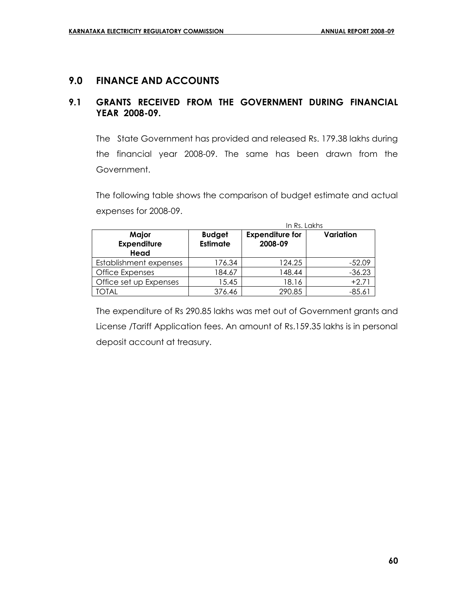# **9.0 FINANCE AND ACCOUNTS**

# **9.1 GRANTS RECEIVED FROM THE GOVERNMENT DURING FINANCIAL YEAR 2008-09.**

The State Government has provided and released Rs. 179.38 lakhs during the financial year 2008-09. The same has been drawn from the Government.

The following table shows the comparison of budget estimate and actual expenses for 2008-09.

|                                     | In Rs. Lakhs                     |                                   |           |
|-------------------------------------|----------------------------------|-----------------------------------|-----------|
| Major<br><b>Expenditure</b><br>Head | <b>Budget</b><br><b>Estimate</b> | <b>Expenditure for</b><br>2008-09 | Variation |
| Establishment expenses              | 176.34                           | 124.25                            | $-52.09$  |
| Office Expenses                     | 184.67                           | 148.44                            | $-36.23$  |
| Office set up Expenses              | 15.45                            | 18.16                             | $+2.71$   |
| TOTAL                               | 376.46                           | 290.85                            | $-85.61$  |

The expenditure of Rs 290.85 lakhs was met out of Government grants and License /Tariff Application fees. An amount of Rs.159.35 lakhs is in personal deposit account at treasury.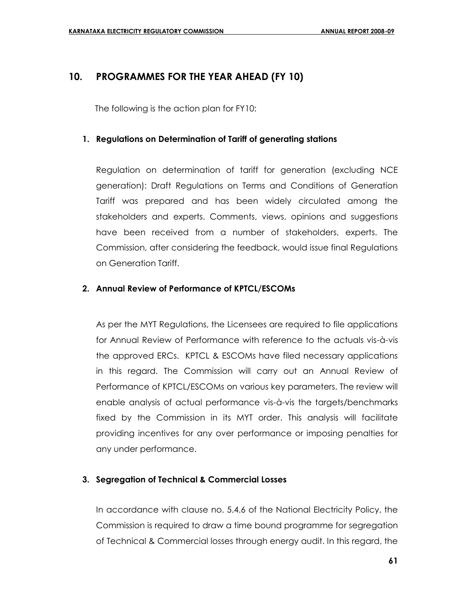# **10. PROGRAMMES FOR THE YEAR AHEAD (FY 10)**

The following is the action plan for FY10:

### **1. Regulations on Determination of Tariff of generating stations**

Regulation on determination of tariff for generation (excluding NCE generation): Draft Regulations on Terms and Conditions of Generation Tariff was prepared and has been widely circulated among the stakeholders and experts. Comments, views, opinions and suggestions have been received from a number of stakeholders, experts. The Commission, after considering the feedback, would issue final Regulations on Generation Tariff.

### **2. Annual Review of Performance of KPTCL/ESCOMs**

As per the MYT Regulations, the Licensees are required to file applications for Annual Review of Performance with reference to the actuals vis-à-vis the approved ERCs. KPTCL & ESCOMs have filed necessary applications in this regard. The Commission will carry out an Annual Review of Performance of KPTCL/ESCOMs on various key parameters. The review will enable analysis of actual performance vis-à-vis the targets/benchmarks fixed by the Commission in its MYT order. This analysis will facilitate providing incentives for any over performance or imposing penalties for any under performance.

# **3. Segregation of Technical & Commercial Losses**

In accordance with clause no. 5.4.6 of the National Electricity Policy, the Commission is required to draw a time bound programme for segregation of Technical & Commercial losses through energy audit. In this regard, the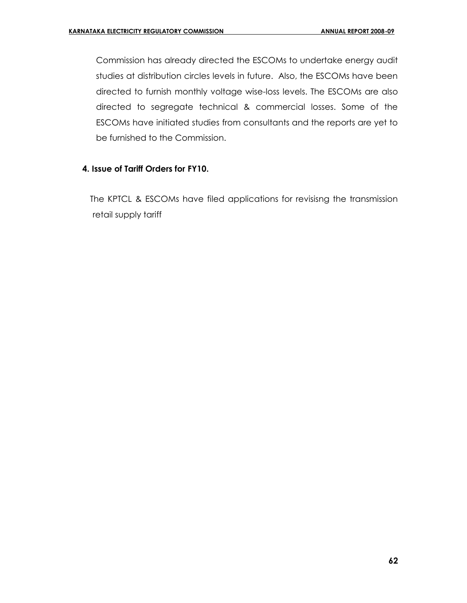Commission has already directed the ESCOMs to undertake energy audit studies at distribution circles levels in future. Also, the ESCOMs have been directed to furnish monthly voltage wise-loss levels. The ESCOMs are also directed to segregate technical & commercial losses. Some of the ESCOMs have initiated studies from consultants and the reports are yet to be furnished to the Commission.

### **4. Issue of Tariff Orders for FY10.**

The KPTCL & ESCOMs have filed applications for revisisng the transmission retail supply tariff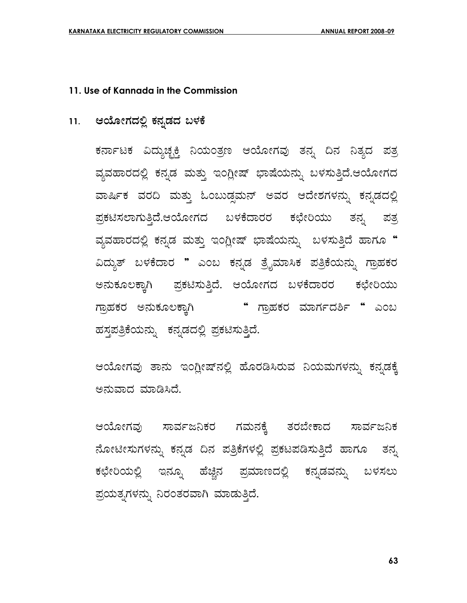### **11. Use of Kannada in the Commission**

# 11. ಆಯೋಗದಲ್ಲಿ ಕನ್ನಡದ ಬಳಕೆ

ಕರ್ನಾಟಕ ವಿದ್ಯುಚ್ಛಕ್ತಿ ನಿಯಂತ್ರಣ ಆಯೋಗವು ತನ್ನ ದಿನ ನಿತ್ಯದ ಪತ್ರ ವ್ಯವಹಾರದಲ್ಲಿ ಕನ್ನಡ ಮತ್ತು ಇಂಗ್ಲೀಷ್ ಭಾಷೆಯನ್ನು ಬಳಸುತ್ತಿದೆ.ಆಯೋಗದ ವಾರ್ಷಿಕ ವರದಿ ಮತ್ತು ಓಂಬುಡ್ಷಮನ್ ಅವರ ಆದೇಶಗಳನ್ನು ಕನ್ನಡದಲ್ಲಿ ಪ್ರಕಟಿಸಲಾಗುತ್ತಿದೆ.ಆಯೋಗದ ಬಳಕೆದಾರರ ಕಛೇರಿಯು ತನ್ನ ಪತ್ರ ವ್ಯವಹಾರದಲ್ಲಿ ಕನ್ನಡ ಮತ್ತು ಇಂಗ್ಲೀಷ್ ಭಾಷೆಯನ್ನು ಬಳಸುತ್ತಿದೆ ಹಾಗೂ **"** ವಿದ್ಯುತ್ ಬಳಕೆದಾರ " ಎಂಬ ಕನ್ನಡ ತ್ರೈಮಾಸಿಕ ಪತ್ರಿಕೆಯನ್ನು ಗ್ರಾಹಕರ ಅನುಕೂಲಕ್ಕಾಗಿ ಪ್ರಕಟಿಸುತ್ತಿದೆ. ಆಯೋಗದ ಬಳಕೆದಾರರ ಕಛೇರಿಯು ಗ್ರಾಹಕರ ಅನುಕೂಲಕ್ಕಾಗಿ " ಗ್ರಾಹಕರ ಮಾರ್ಗದರ್ಶಿ " ಎಂಬ ಹಸ್ತಪತ್ರಿಕೆಯನ್ನು ಕನ್ನಡದಲ್ಲಿ ಪ್ರಕಟಿಸುತ್ತಿದೆ.

ಆಯೋಗವು ತಾನು ಇಂಗ್ಲೀಷ್**ನಲ್ಲಿ ಹೊರಡಿಸಿರುವ ನಿಯಮಗಳನ್ನು ಕನ್ನಡ**ಕ್ಕೆ ಅನುವಾದ ಮಾಡಿಸಿದೆ.

ಆಯೋಗವು ಸಾರ್ವಜನಿಕರ ಗಮನಕ್ಕೆ ತರಬೇಕಾದ ಸಾರ್ವಜನಿಕ ಹೋಟೀಸುಗಳನ್ನು ಕನ್ನಡ ದಿನ ಪತ್ರಿಕೆಗಳಲ್ಲಿ ಪ್ರಕಟಪಡಿಸುತ್ತಿದೆ ಹಾಗೂ ತನ್ನ ಕಛೇರಿಯಲ್ಲಿ ಇನ್ನೂ ಹೆಚ್ಚಿನ ಪ್ರಮಾಣದಲ್ಲಿ ಕನ್ನಡವನ್ನು ಬಳಸಲು ಪ್ರಯತ್ನಗಳನ್ನು ನಿರಂತರವಾಗಿ ಮಾಡುತ್ತಿದೆ.

**63**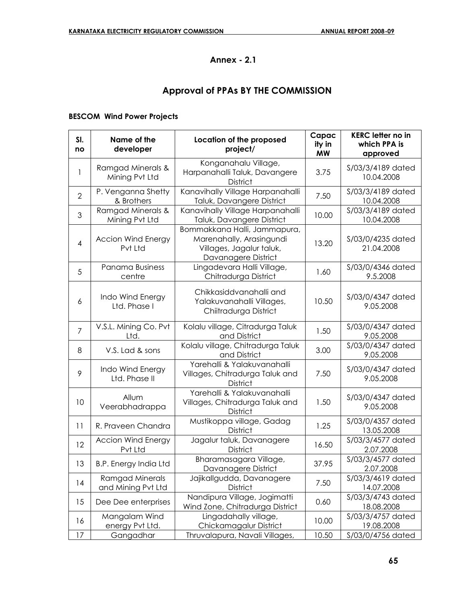# **Annex - 2.1**

# **Approval of PPAs BY THE COMMISSION**

### **BESCOM Wind Power Projects**

| SI.<br>no      | Name of the<br>developer              | Location of the proposed<br>project/                                                                        | Capac<br>ity in<br><b>MW</b> | <b>KERC</b> letter no in<br>which PPA is<br>approved |
|----------------|---------------------------------------|-------------------------------------------------------------------------------------------------------------|------------------------------|------------------------------------------------------|
| 1              | Ramgad Minerals &<br>Mining Pvt Ltd   | Konganahalu Village,<br>Harpanahalli Taluk, Davangere<br><b>District</b>                                    | 3.75                         | S/03/3/4189 dated<br>10.04.2008                      |
| 2              | P. Venganna Shetty<br>& Brothers      | Kanavihally Village Harpanahalli<br>Taluk, Davangere District                                               | 7.50                         | S/03/3/4189 dated<br>10.04.2008                      |
| 3              | Ramgad Minerals &<br>Mining Pvt Ltd   | Kanavihally Village Harpanahalli<br>Taluk, Davangere District                                               | 10.00                        | S/03/3/4189 dated<br>10.04.2008                      |
| 4              | <b>Accion Wind Energy</b><br>Pvt Ltd  | Bommakkana Halli, Jammapura,<br>Marenahally, Arasingundi<br>Villages, Jagalur taluk,<br>Davanagere District | 13.20                        | S/03/0/4235 dated<br>21.04.2008                      |
| 5              | Panama Business<br>centre             | Lingadevara Halli Village,<br>Chitradurga District                                                          | 1.60                         | S/03/0/4346 dated<br>9.5.2008                        |
| 6              | Indo Wind Energy<br>Ltd. Phase I      | Chikkasiddvanahalli and<br>Yalakuvanahalli Villages,<br>Chiitradurga District                               | 10.50                        | \$/03/0/4347 dated<br>9.05.2008                      |
| $\overline{7}$ | V.S.L. Mining Co. Pvt<br>Ltd.         | Kolalu village, Citradurga Taluk<br>and District                                                            | 1.50                         | S/03/0/4347 dated<br>9.05.2008                       |
| 8              | V.S. Lad & sons                       | Kolalu village, Chitradurga Taluk<br>and District                                                           | 3.00                         | \$/03/0/4347 dated<br>9.05.2008                      |
| 9              | Indo Wind Energy<br>Ltd. Phase II     | Yarehalli & Yalakuvanahalli<br>Villages, Chitradurga Taluk and<br><b>District</b>                           | 7.50                         | S/03/0/4347 dated<br>9.05.2008                       |
| 10             | Allum<br>Veerabhadrappa               | Yarehalli & Yalakuvanahalli<br>Villages, Chitradurga Taluk and<br><b>District</b>                           | 1.50                         | \$/03/0/4347 dated<br>9.05.2008                      |
| 11             | R. Praveen Chandra                    | Mustikoppa village, Gadag<br><b>District</b>                                                                | 1.25                         | S/03/0/4357 dated<br>13.05.2008                      |
| 12             | <b>Accion Wind Energy</b><br>Pvt Ltd  | Jagalur taluk, Davanagere<br><b>District</b>                                                                | 16.50                        | S/03/3/4577 dated<br>2.07.2008                       |
| 13             | <b>B.P. Energy India Ltd</b>          | Bharamasagara Village,<br>Davanagere District                                                               | 37.95                        | S/03/3/4577 dated<br>2.07.2008                       |
| 14             | Ramgad Minerals<br>and Mining Pvt Ltd | Jajikallgudda, Davanagere<br><b>District</b>                                                                | 7.50                         | S/03/3/4619 dated<br>14.07.2008                      |
| 15             | Dee Dee enterprises                   | Nandipura Village, Jogimatti<br>Wind Zone, Chitradurga District                                             | 0.60                         | S/03/3/4743 dated<br>18.08.2008                      |
| 16             | Mangalam Wind<br>energy Pvt Ltd.      | Lingadahally village,<br>Chickamagalur District                                                             | 10.00                        | S/03/3/4757 dated<br>19.08.2008                      |
| 17             | Gangadhar                             | Thruvalapura, Navali Villages,                                                                              | 10.50                        | S/03/0/4756 dated                                    |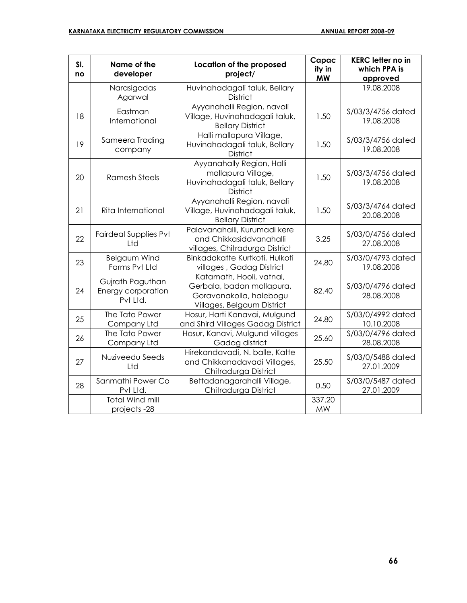| SI.<br>no | Name of the<br>developer                           | Location of the proposed<br>project/                                                                           | Capac<br>ity in<br><b>MW</b> | <b>KERC letter no in</b><br>which PPA is<br>approved |
|-----------|----------------------------------------------------|----------------------------------------------------------------------------------------------------------------|------------------------------|------------------------------------------------------|
|           | Narasigadas<br>Agarwal                             | Huvinahadagali taluk, Bellary<br><b>District</b>                                                               |                              | 19.08.2008                                           |
| 18        | Eastman<br>International                           | Ayyanahalli Region, navali<br>Village, Huvinahadagali taluk,<br><b>Bellary District</b>                        | 1.50                         | S/03/3/4756 dated<br>19.08.2008                      |
| 19        | Sameera Trading<br>company                         | Halli mallapura Village,<br>Huvinahadagali taluk, Bellary<br><b>District</b>                                   | 1.50                         | S/03/3/4756 dated<br>19.08.2008                      |
| 20        | <b>Ramesh Steels</b>                               | Ayyanahally Region, Halli<br>mallapura Village,<br>Huvinahadagali taluk, Bellary<br><b>District</b>            | 1.50                         | S/03/3/4756 dated<br>19.08.2008                      |
| 21        | Rita International                                 | Ayyanahalli Region, navali<br>Village, Huvinahadagali taluk,<br><b>Bellary District</b>                        | 1.50                         | S/03/3/4764 dated<br>20.08.2008                      |
| 22        | <b>Fairdeal Supplies Pvt</b><br>Ltd                | Palavanahalli, Kurumadi kere<br>and Chikkasiddvanahalli<br>villages, Chitradurga District                      | 3.25                         | S/03/0/4756 dated<br>27.08.2008                      |
| 23        | <b>Belgaum Wind</b><br>Farms Pvt Ltd               | Binkadakatte Kurtkoti, Hulkoti<br>villages, Gadag District                                                     | 24.80                        | S/03/0/4793 dated<br>19.08.2008                      |
| 24        | Gujrath Paguthan<br>Energy corporation<br>Pvt Ltd. | Katamath, Hooli, vatnal,<br>Gerbala, badan mallapura,<br>Goravanakolla, halebogu<br>Villages, Belgaum District | 82.40                        | S/03/0/4796 dated<br>28.08.2008                      |
| 25        | The Tata Power<br>Company Ltd                      | Hosur, Harti Kanavai, Mulgund<br>and Shird Villages Gadag District                                             | 24.80                        | S/03/0/4992 dated<br>10.10.2008                      |
| 26        | The Tata Power<br>Company Ltd                      | Hosur, Kanavi, Mulgund villages<br>Gadag district                                                              | 25.60                        | S/03/0/4796 dated<br>28.08.2008                      |
| 27        | Nuziveedu Seeds<br>Ltd                             | Hirekandavadi, N. balle, Katte<br>and Chikkanadavadi Villages,<br>Chitradurga District                         | 25.50                        | \$/03/0/5488 dated<br>27.01.2009                     |
| 28        | Sanmathi Power Co<br>Pvt Ltd.                      | Bettadanagarahalli Village,<br>Chitradurga District                                                            | 0.50                         | \$/03/0/5487 dated<br>27.01.2009                     |
|           | <b>Total Wind mill</b><br>projects-28              |                                                                                                                | 337.20<br><b>MW</b>          |                                                      |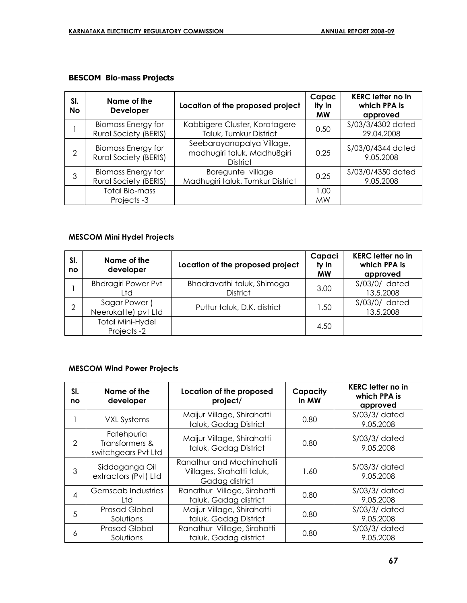### **BESCOM Bio-mass Projects**

| SI.<br><b>No</b> | Name of the<br><b>Developer</b>                           | Location of the proposed project                                            | Capac<br>ity in<br><b>MW</b> | <b>KERC letter no in</b><br>which PPA is<br>approved |
|------------------|-----------------------------------------------------------|-----------------------------------------------------------------------------|------------------------------|------------------------------------------------------|
|                  | <b>Biomass Energy for</b><br><b>Rural Society (BERIS)</b> | Kabbigere Cluster, Koratagere<br>Taluk, Tumkur District                     | 0.50                         | S/03/3/4302 dated<br>29.04.2008                      |
| $\mathfrak{D}$   | <b>Biomass Energy for</b><br><b>Rural Society (BERIS)</b> | Seebarayanapalya Village,<br>madhugiri taluk, Madhu8giri<br><b>District</b> | 0.25                         | S/03/0/4344 dated<br>9.05.2008                       |
| 3                | <b>Biomass Energy for</b><br><b>Rural Society (BERIS)</b> | Boregunte village<br>Madhugiri taluk, Tumkur District                       | 0.25                         | S/03/0/4350 dated<br>9.05.2008                       |
|                  | <b>Total Bio-mass</b><br>Projects-3                       |                                                                             | 1.00<br><b>MW</b>            |                                                      |

# **MESCOM Mini Hydel Projects**

| SI.<br>no | Name of the<br>developer              | Location of the proposed project              | Capaci<br>ty in<br><b>MW</b> | <b>KERC letter no in</b><br>which PPA is<br>approved |
|-----------|---------------------------------------|-----------------------------------------------|------------------------------|------------------------------------------------------|
|           | <b>Bhdragiri Power Pvt</b><br>Ltd     | Bhadravathi taluk, Shimoga<br><b>District</b> | 3.00                         | S/03/0/ dated<br>13.5.2008                           |
| 2         | Sagar Power (<br>Neerukatte) pvt Ltd  | Puttur taluk, D.K. district                   | 1.50                         | S/03/0/ dated<br>13.5.2008                           |
|           | <b>Total Mini-Hydel</b><br>Projects-2 |                                               | 4.50                         |                                                      |

#### **MESCOM Wind Power Projects**

| SI.<br>no                | Name of the<br>developer                            | Location of the proposed<br>project/                                      | Capacity<br>in MW | <b>KERC letter no in</b><br>which PPA is<br>approved |
|--------------------------|-----------------------------------------------------|---------------------------------------------------------------------------|-------------------|------------------------------------------------------|
|                          | <b>VXL Systems</b>                                  | Maijur Village, Shirahatti<br>taluk, Gadag District                       | 0.80              | $S/03/3/$ dated<br>9.05.2008                         |
| $\mathcal{P}$            | Fatehpuria<br>Transformers &<br>switchgears Pvt Ltd | Maijur Village, Shirahatti<br>taluk, Gadag District                       | 0.80              | $S/03/3/$ dated<br>9.05.2008                         |
| 3                        | Siddaganga Oil<br>extractors (Pvt) Ltd              | Ranathur and Machinahalli<br>Villages, Sirahatti taluk,<br>Gadag district | 1.60              | $S/03/3/$ dated<br>9.05.2008                         |
| $\overline{\mathcal{A}}$ | Gemscab Industries<br>Ltd                           | Ranathur Village, Sirahatti<br>taluk, Gadag district                      | 0.80              | $S/03/3/$ dated<br>9.05.2008                         |
| 5                        | <b>Prasad Global</b><br>Solutions                   | Maijur Village, Shirahatti<br>taluk, Gadag District                       | 0.80              | $S/03/3/$ dated<br>9.05.2008                         |
| 6                        | <b>Prasad Global</b><br>Solutions                   | Ranathur Village, Sirahatti<br>taluk, Gadag district                      | 0.80              | $S/03/3/$ dated<br>9.05.2008                         |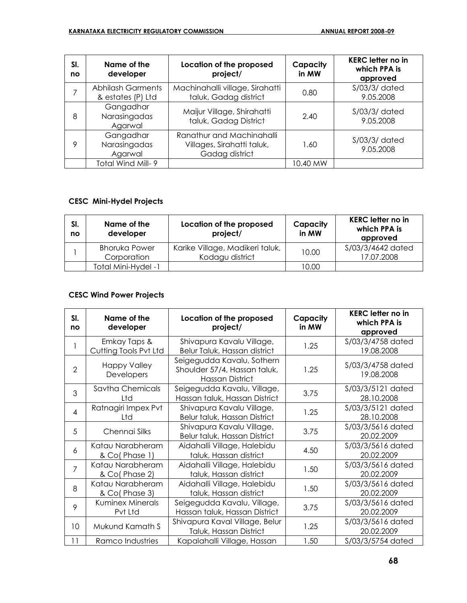| SI.<br>no | Name of the<br>developer                      | Location of the proposed<br>project/                                      | Capacity<br>in MW | <b>KERC letter no in</b><br>which PPA is<br>approved |
|-----------|-----------------------------------------------|---------------------------------------------------------------------------|-------------------|------------------------------------------------------|
|           | <b>Abhilash Garments</b><br>& estates (P) Ltd | Machinahalli village, Sirahatti<br>taluk, Gadag district                  | 0.80              | $S/03/3/$ dated<br>9.05.2008                         |
| 8         | Gangadhar<br>Narasingadas<br>Agarwal          | Maijur Village, Shirahatti<br>taluk, Gadag District                       | 2.40              | $S/03/3/$ dated<br>9.05.2008                         |
| 9         | Gangadhar<br>Narasingadas<br>Agarwal          | Ranathur and Machinahalli<br>Villages, Sirahatti taluk,<br>Gadag district | 1.60              | $S/03/3/$ dated<br>9.05.2008                         |
|           | Total Wind Mill- 9                            |                                                                           | 10.40 MW          |                                                      |

# **CESC Mini-Hydel Projects**

| SI.<br>no | Name of the<br>developer            | Location of the proposed<br>project/               | Capacity<br>in MW | <b>KERC letter no in</b><br>which PPA is<br>approved |
|-----------|-------------------------------------|----------------------------------------------------|-------------------|------------------------------------------------------|
|           | <b>Bhoruka Power</b><br>Corporation | Karike Village, Madikeri taluk,<br>Kodagu district | 10.00             | S/03/3/4642 dated<br>17.07.2008                      |
|           | Total Mini-Hydel -1                 |                                                    | 10.00             |                                                      |

# **CESC Wind Power Projects**

| SI.<br>no      | Name of the<br>developer              | Location of the proposed<br>project/                                          | Capacity<br>in MW | <b>KERC letter no in</b><br>which PPA is<br>approved |
|----------------|---------------------------------------|-------------------------------------------------------------------------------|-------------------|------------------------------------------------------|
|                | Emkay Taps &<br>Cutting Tools Pvt Ltd | Shivapura Kavalu Village,<br>Belur Taluk, Hassan district                     | 1.25              | S/03/3/4758 dated<br>19.08.2008                      |
| $\overline{2}$ | <b>Happy Valley</b><br>Developers     | Seigegudda Kavalu, Sothern<br>Shoulder 57/4, Hassan taluk,<br>Hassan District | 1.25              | S/03/3/4758 dated<br>19.08.2008                      |
| 3              | Savtha Chemicals<br>Ltd               | Seigegudda Kavalu, Village,<br>Hassan taluk, Hassan District                  | 3.75              | S/03/3/5121 dated<br>28.10.2008                      |
| $\overline{4}$ | Ratnagiri Impex Pvt<br>Ltd            | Shivapura Kavalu Village,<br>Belur taluk, Hassan District                     | 1.25              | S/03/3/5121 dated<br>28.10.2008                      |
| 5              | Chennai Silks                         | Shivapura Kavalu Village,<br>Belur taluk, Hassan District                     | 3.75              | S/03/3/5616 dated<br>20.02.2009                      |
| 6              | Katau Narabheram<br>& Co(Phase 1)     | Aidahalli Village, Halebidu<br>taluk, Hassan district                         | 4.50              | S/03/3/5616 dated<br>20.02.2009                      |
| $\overline{7}$ | Katau Narabheram<br>& Co(Phase 2)     | Aidahalli Village, Halebidu<br>taluk, Hassan district                         | 1.50              | S/03/3/5616 dated<br>20.02.2009                      |
| 8              | Katau Narabheram<br>& Co(Phase 3)     | Aidahalli Village, Halebidu<br>taluk, Hassan district                         | 1.50              | S/03/3/5616 dated<br>20.02.2009                      |
| 9              | <b>Kuminex Minerals</b><br>Pvt Ltd    | Seigegudda Kavalu, Village,<br>Hassan taluk, Hassan District                  | 3.75              | S/03/3/5616 dated<br>20.02.2009                      |
| 10             | Mukund Kamath S                       | Shivapura Kaval Village, Belur<br>Taluk, Hassan District                      | 1.25              | S/03/3/5616 dated<br>20.02.2009                      |
| 11             | Ramco Industries                      | Kapalahalli Village, Hassan                                                   | 1.50              | S/03/3/5754 dated                                    |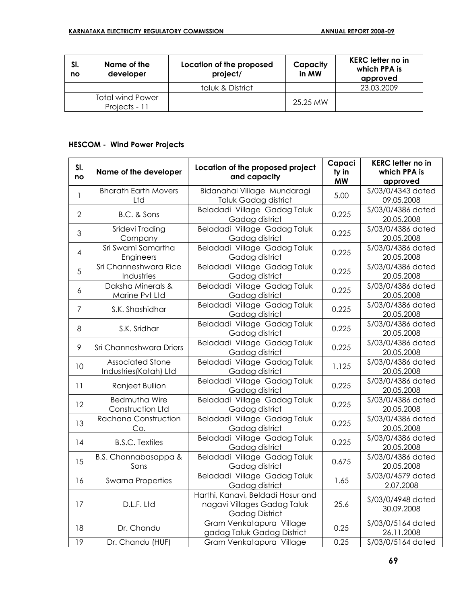| SI.<br>no | Name of the<br>developer                 | Location of the proposed<br>project/ | Capacity<br>in MW | <b>KERC</b> letter no in<br>which PPA is<br>approved |
|-----------|------------------------------------------|--------------------------------------|-------------------|------------------------------------------------------|
|           |                                          | taluk & District                     |                   | 23.03.2009                                           |
|           | <b>Total wind Power</b><br>Projects - 11 |                                      | 25.25 MW          |                                                      |

# **HESCOM - Wind Power Projects**

| SI.            |                                 | Location of the proposed project               | Capaci    | <b>KERC letter no in</b>        |
|----------------|---------------------------------|------------------------------------------------|-----------|---------------------------------|
| no             | Name of the developer           | and capacity                                   | ty in     | which PPA is                    |
|                |                                 |                                                | <b>MW</b> | approved                        |
| $\mathbf{1}$   | <b>Bharath Earth Movers</b>     | Bidanahal Village Mundaragi                    | 5.00      | S/03/0/4343 dated               |
|                | Ltd                             | Taluk Gadag district                           |           | 09.05.2008                      |
| $\overline{2}$ | B.C. & Sons                     | Beladadi Village Gadag Taluk<br>Gadag district | 0.225     | S/03/0/4386 dated<br>20.05.2008 |
| 3              | Sridevi Trading                 | Beladadi Village Gadag Taluk                   | 0.225     | S/03/0/4386 dated               |
|                | Company                         | Gadag district                                 |           | 20.05.2008                      |
| $\overline{4}$ | Sri Swami Samartha              | Beladadi Village Gadag Taluk                   | 0.225     | S/03/0/4386 dated               |
|                | Engineers                       | Gadag district                                 |           | 20.05.2008                      |
| 5              | Sri Channeshwara Rice           | Beladadi Village Gadag Taluk                   | 0.225     | S/03/0/4386 dated<br>20.05.2008 |
|                | Industries<br>Daksha Minerals & | Gadag district<br>Beladadi Village Gadag Taluk |           | S/03/0/4386 dated               |
| 6              | Marine Pvt Ltd                  | Gadag district                                 | 0.225     | 20.05.2008                      |
|                |                                 | Beladadi Village Gadag Taluk                   |           | \$/03/0/4386 dated              |
| $\overline{7}$ | S.K. Shashidhar                 | Gadag district                                 | 0.225     | 20.05.2008                      |
|                |                                 | Beladadi Village Gadag Taluk                   |           | \$/03/0/4386 dated              |
| 8              | S.K. Sridhar                    | Gadag district                                 | 0.225     | 20.05.2008                      |
|                |                                 | Beladadi Village Gadag Taluk                   |           | S/03/0/4386 dated               |
| 9              | Sri Channeshwara Driers         | Gadag district                                 | 0.225     | 20.05.2008                      |
| 10             | <b>Associated Stone</b>         | Beladadi Village Gadag Taluk                   | 1.125     | S/03/0/4386 dated               |
|                | Industries (Kotah) Ltd          | Gadag district                                 |           | 20.05.2008                      |
| 11             | Ranjeet Bullion                 | Beladadi Village Gadag Taluk                   | 0.225     | S/03/0/4386 dated               |
|                |                                 | Gadag district                                 |           | 20.05.2008                      |
| 12             | <b>Bedmutha Wire</b>            | Beladadi Village Gadag Taluk                   | 0.225     | S/03/0/4386 dated               |
|                | Construction Ltd                | Gadag district                                 |           | 20.05.2008                      |
| 13             | Rachana Construction            | Beladadi Village Gadag Taluk                   | 0.225     | S/03/0/4386 dated               |
|                | Co.                             | Gadag district                                 |           | 20.05.2008                      |
| 14             | <b>B.S.C. Textiles</b>          | Beladadi Village Gadag Taluk                   | 0.225     | S/03/0/4386 dated               |
|                |                                 | Gadag district                                 |           | 20.05.2008<br>S/03/0/4386 dated |
| 15             | B.S. Channabasappa &<br>Sons    | Beladadi Village Gadag Taluk<br>Gadag district | 0.675     | 20.05.2008                      |
|                |                                 | Beladadi Village Gadag Taluk                   |           | S/03/0/4579 dated               |
| 16             | <b>Swarna Properties</b>        | Gadag district                                 | 1.65      | 2.07.2008                       |
|                |                                 | Harthi, Kanavi, Beldadi Hosur and              |           |                                 |
| 17             | D.L.F. Ltd                      | nagavi Villages Gadag Taluk                    | 25.6      | S/03/0/4948 dated               |
|                |                                 | <b>Gadag District</b>                          |           | 30.09.2008                      |
|                |                                 | Gram Venkatapura Village                       |           | S/03/0/5164 dated               |
| 18             | Dr. Chandu                      | gadag Taluk Gadag District                     | 0.25      | 26.11.2008                      |
| 19             | Dr. Chandu (HUF)                | Gram Venkatapura Village                       | 0.25      | S/03/0/5164 dated               |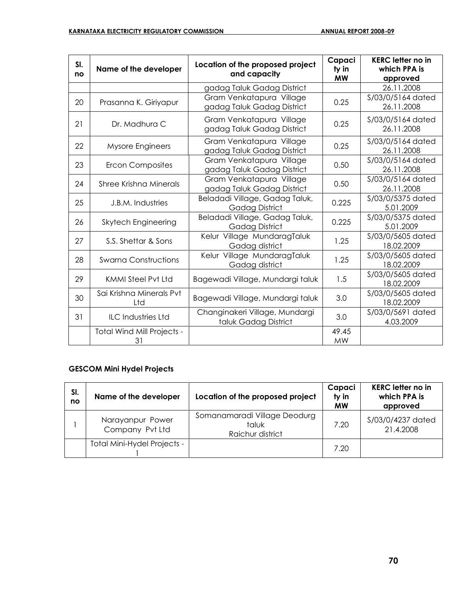| SI.<br>no | Name of the developer            | Location of the proposed project<br>and capacity        | Capaci<br>ty in<br><b>MW</b> | <b>KERC letter no in</b><br>which PPA is<br>approved |
|-----------|----------------------------------|---------------------------------------------------------|------------------------------|------------------------------------------------------|
|           |                                  | gadag Taluk Gadag District                              |                              | 26.11.2008                                           |
| 20        | Prasanna K. Giriyapur            | Gram Venkatapura Village<br>gadag Taluk Gadag District  | 0.25                         | S/03/0/5164 dated<br>26.11.2008                      |
| 21        | Dr. Madhura C                    | Gram Venkatapura Village<br>gadag Taluk Gadag District  | 0.25                         | S/03/0/5164 dated<br>26.11.2008                      |
| 22        | Mysore Engineers                 | Gram Venkatapura Village<br>gadag Taluk Gadag District  | 0.25                         | S/03/0/5164 dated<br>26.11.2008                      |
| 23        | <b>Ercon Composites</b>          | Gram Venkatapura Village<br>gadag Taluk Gadag District  | 0.50                         | S/03/0/5164 dated<br>26.11.2008                      |
| 24        | <b>Shree Krishna Minerals</b>    | Gram Venkatapura Village<br>gadag Taluk Gadag District  | 0.50                         | \$/03/0/5164 dated<br>26.11.2008                     |
| 25        | J.B.M. Industries                | Beladadi Village, Gadag Taluk,<br>Gadag District        | 0.225                        | S/03/0/5375 dated<br>5.01.2009                       |
| 26        | Skytech Engineering              | Beladadi Village, Gadag Taluk,<br><b>Gadag District</b> | 0.225                        | S/03/0/5375 dated<br>5.01.2009                       |
| 27        | S.S. Shettar & Sons              | Kelur Village MundaragTaluk<br>Gadag district           | 1.25                         | \$/03/0/5605 dated<br>18.02.2009                     |
| 28        | <b>Swarna Constructions</b>      | Kelur Village MundaragTaluk<br>Gadag district           | 1.25                         | S/03/0/5605 dated<br>18.02.2009                      |
| 29        | KMMI Steel Pyt Ltd               | Bagewadi Village, Mundargi taluk                        | 1.5                          | S/03/0/5605 dated<br>18.02.2009                      |
| 30        | Sai Krishna Minerals Pvt<br>Ltd  | Bagewadi Village, Mundargi taluk                        | 3.0                          | S/03/0/5605 dated<br>18.02.2009                      |
| 31        | <b>ILC Industries Ltd</b>        | Changinakeri Village, Mundargi<br>taluk Gadag District  | 3.0                          | S/03/0/5691 dated<br>4.03.2009                       |
|           | Total Wind Mill Projects -<br>31 |                                                         | 49.45<br><b>MW</b>           |                                                      |

### **GESCOM Mini Hydel Projects**

| SI.<br>no | Name of the developer               | Location of the proposed project                          | Capaci<br>ty in<br><b>MW</b> | <b>KERC</b> letter no in<br>which PPA is<br>approved |
|-----------|-------------------------------------|-----------------------------------------------------------|------------------------------|------------------------------------------------------|
|           | Narayanpur Power<br>Company Pvt Ltd | Somanamaradi Village Deodurg<br>taluk<br>Raichur district | 7.20                         | \$/03/0/4237 dated<br>21.4.2008                      |
|           | Total Mini-Hydel Projects -         |                                                           | 7.20                         |                                                      |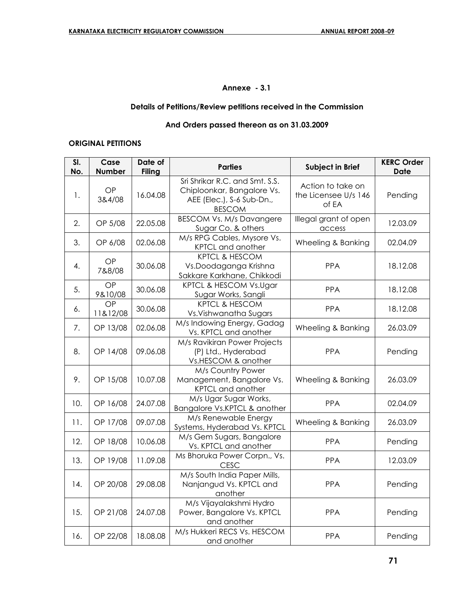### **Annexe - 3.1**

### **Details of Petitions/Review petitions received in the Commission**

### **And Orders passed thereon as on 31.03.2009**

#### **ORIGINAL PETITIONS**

| SI.<br>No. | Case<br><b>Number</b> | Date of<br><b>Filing</b> | <b>Parties</b>                                                                                             | <b>Subject in Brief</b>                            | <b>KERC Order</b><br>Date |
|------------|-----------------------|--------------------------|------------------------------------------------------------------------------------------------------------|----------------------------------------------------|---------------------------|
| 1.         | OP<br>3&4/08          | 16.04.08                 | Sri Shrikar R.C. and Smt. S.S.<br>Chiploonkar, Bangalore Vs.<br>AEE (Elec.), S-6 Sub-Dn.,<br><b>BESCOM</b> | Action to take on<br>the Licensee U/s 146<br>of EA | Pending                   |
| 2.         | OP 5/08               | 22.05.08                 | <b>BESCOM Vs. M/s Davangere</b><br>Sugar Co. & others                                                      | Illegal grant of open<br>access                    | 12.03.09                  |
| 3.         | OP 6/08               | 02.06.08                 | M/s RPG Cables, Mysore Vs.<br>KPTCL and another                                                            | Wheeling & Banking                                 | 02.04.09                  |
| 4.         | OP<br>7&8/08          | 30.06.08                 | <b>KPTCL &amp; HESCOM</b><br>Vs.Doodaganga Krishna<br>Sakkare Karkhane, Chikkodi                           | PPA                                                | 18.12.08                  |
| 5.         | OP<br>9&10/08         | 30.06.08                 | KPTCL & HESCOM Vs.Ugar<br>Sugar Works, Sangli                                                              | <b>PPA</b>                                         | 18.12.08                  |
| 6.         | OP<br>11&12/08        | 30.06.08                 | <b>KPTCL &amp; HESCOM</b><br>Vs. Vishwanatha Sugars                                                        | PPA                                                | 18.12.08                  |
| 7.         | OP 13/08              | 02.06.08                 | M/s Indowing Energy, Gadag<br>Vs. KPTCL and another                                                        | Wheeling & Banking                                 | 26.03.09                  |
| 8.         | OP 14/08              | 09.06.08                 | M/s Ravikiran Power Projects<br>(P) Ltd., Hyderabad<br>Vs.HESCOM & another                                 | <b>PPA</b>                                         | Pending                   |
| 9.         | OP 15/08              | 10.07.08                 | M/s Country Power<br>Management, Bangalore Vs.<br>KPTCL and another                                        | Wheeling & Banking                                 | 26.03.09                  |
| 10.        | OP 16/08              | 24.07.08                 | M/s Ugar Sugar Works,<br>Bangalore Vs.KPTCL & another                                                      | <b>PPA</b>                                         | 02.04.09                  |
| 11.        | OP 17/08              | 09.07.08                 | M/s Renewable Energy<br>Systems, Hyderabad Vs. KPTCL                                                       | Wheeling & Banking                                 | 26.03.09                  |
| 12.        | OP 18/08              | 10.06.08                 | M/s Gem Sugars, Bangalore<br>Vs. KPTCL and another                                                         | <b>PPA</b>                                         | Pending                   |
| 13.        | OP 19/08              | 11.09.08                 | Ms Bhoruka Power Corpn., Vs.<br><b>CESC</b>                                                                | <b>PPA</b>                                         | 12.03.09                  |
| 14.        | OP 20/08              | 29.08.08                 | M/s South India Paper Mills,<br>Nanjangud Vs. KPTCL and<br>another                                         | <b>PPA</b>                                         | Pending                   |
| 15.        | OP 21/08              | 24.07.08                 | M/s Vijayalakshmi Hydro<br>Power, Bangalore Vs. KPTCL<br>and another                                       | <b>PPA</b>                                         | Pending                   |
| 16.        | OP 22/08              | 18.08.08                 | M/s Hukkeri RECS Vs. HESCOM<br>and another                                                                 | <b>PPA</b>                                         | Pending                   |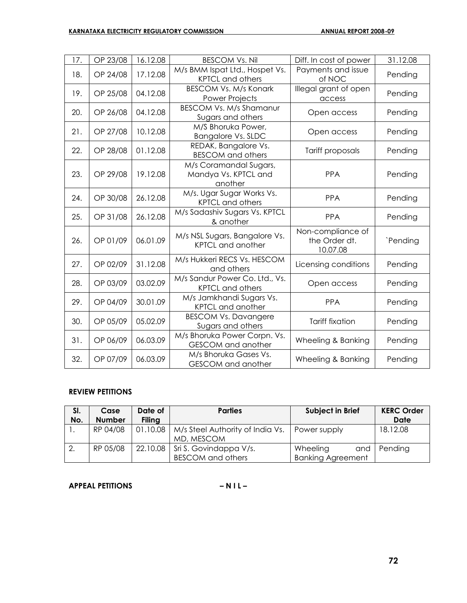| 17. | OP 23/08 | 16.12.08 | <b>BESCOM Vs. Nil</b>                                     | Diff. In cost of power                         | 31.12.08 |
|-----|----------|----------|-----------------------------------------------------------|------------------------------------------------|----------|
| 18. | OP 24/08 | 17.12.08 | M/s BMM Ispat Ltd., Hospet Vs.<br><b>KPTCL and others</b> | Payments and issue<br>of NOC                   | Pending  |
| 19. | OP 25/08 | 04.12.08 | <b>BESCOM Vs. M/s Konark</b><br>Power Projects            | Illegal grant of open<br>access                | Pending  |
| 20. | OP 26/08 | 04.12.08 | <b>BESCOM Vs. M/s Shamanur</b><br>Sugars and others       | Open access                                    | Pending  |
| 21. | OP 27/08 | 10.12.08 | M/S Bhoruka Power,<br><b>Bangalore Vs. SLDC</b>           | Open access                                    | Pending  |
| 22. | OP 28/08 | 01.12.08 | REDAK, Bangalore Vs.<br><b>BESCOM</b> and others          | Tariff proposals                               | Pending  |
| 23. | OP 29/08 | 19.12.08 | M/s Coramandal Sugars,<br>Mandya Vs. KPTCL and<br>another | <b>PPA</b>                                     | Pending  |
| 24. | OP 30/08 | 26.12.08 | M/s. Ugar Sugar Works Vs.<br><b>KPTCL and others</b>      | <b>PPA</b>                                     | Pending  |
| 25. | OP 31/08 | 26.12.08 | M/s Sadashiv Sugars Vs. KPTCL<br>& another                | <b>PPA</b>                                     | Pending  |
| 26. | OP 01/09 | 06.01.09 | M/s NSL Sugars, Bangalore Vs.<br><b>KPTCL and another</b> | Non-compliance of<br>the Order dt.<br>10.07.08 | `Pending |
| 27. | OP 02/09 | 31.12.08 | M/s Hukkeri RECS Vs. HESCOM<br>and others                 | Licensing conditions                           | Pending  |
| 28. | OP 03/09 | 03.02.09 | M/s Sandur Power Co. Ltd., Vs.<br><b>KPTCL and others</b> | Open access                                    | Pending  |
| 29. | OP 04/09 | 30.01.09 | M/s Jamkhandi Sugars Vs.<br>KPTCL and another             | <b>PPA</b>                                     | Pending  |
| 30. | OP 05/09 | 05.02.09 | <b>BESCOM Vs. Davangere</b><br>Sugars and others          | <b>Tariff fixation</b>                         | Pending  |
| 31. | OP 06/09 | 06.03.09 | M/s Bhoruka Power Corpn. Vs.<br><b>GESCOM</b> and another | Wheeling & Banking                             | Pending  |
| 32. | OP 07/09 | 06.03.09 | M/s Bhoruka Gases Vs.<br>GESCOM and another               | Wheeling & Banking                             | Pending  |

#### **REVIEW PETITIONS**

| SI.<br>No. | Case<br><b>Number</b> | Date of<br><b>Filing</b> | <b>Parties</b>                                                   | Subject in Brief                            | <b>KERC Order</b><br><b>Date</b> |
|------------|-----------------------|--------------------------|------------------------------------------------------------------|---------------------------------------------|----------------------------------|
|            | RP 04/08              | 01.10.08                 | M/s Steel Authority of India Vs.<br>MD, MESCOM                   | Power supply                                | 18.12.08                         |
|            | RP 05/08              |                          | 22.10.08   Sri S. Govindappa $V/s$ .<br><b>BESCOM</b> and others | Wheeling<br>and<br><b>Banking Agreement</b> | Pending                          |

**APPEAL PETITIONS – N I L –**

$$
-NIL-
$$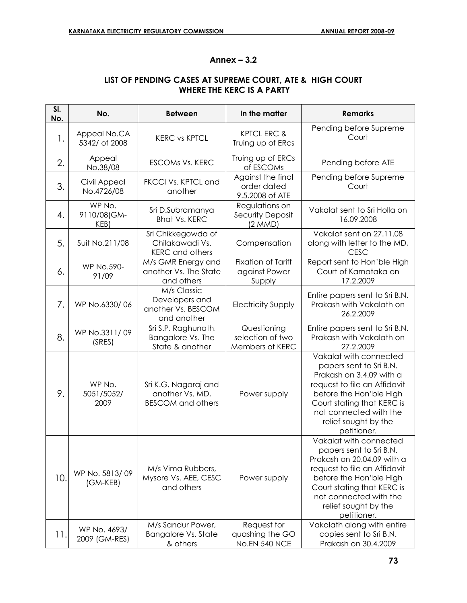### **Annex – 3.2**

### **LIST OF PENDING CASES AT SUPREME COURT, ATE & HIGH COURT WHERE THE KERC IS A PARTY**

| SI.<br>No. | No.                           | <b>Between</b>                                                      | In the matter                                          | <b>Remarks</b>                                                                                                                                                                                                                            |
|------------|-------------------------------|---------------------------------------------------------------------|--------------------------------------------------------|-------------------------------------------------------------------------------------------------------------------------------------------------------------------------------------------------------------------------------------------|
| 1.         | Appeal No.CA<br>5342/ of 2008 | <b>KERC vs KPTCL</b>                                                | KPTCL ERC &<br>Truing up of ERcs                       | Pending before Supreme<br>Court                                                                                                                                                                                                           |
| 2.         | Appeal<br>No.38/08            | <b>ESCOMS Vs. KERC</b>                                              | Truing up of ERCs<br>of ESCOMs                         | Pending before ATE                                                                                                                                                                                                                        |
| 3.         | Civil Appeal<br>No.4726/08    | FKCCI Vs. KPTCL and<br>another                                      | Against the final<br>order dated<br>9.5.2008 of ATE    | Pending before Supreme<br>Court                                                                                                                                                                                                           |
| 4.         | WP No.<br>9110/08(GM-<br>KEB) | Sri D.Subramanya<br><b>Bhat Vs. KERC</b>                            | Regulations on<br>Security Deposit<br>(2 MMD)          | Vakalat sent to Sri Holla on<br>16.09.2008                                                                                                                                                                                                |
| 5.         | Suit No.211/08                | Sri Chikkegowda of<br>Chilakawadi Vs.<br><b>KERC</b> and others     | Compensation                                           | Vakalat sent on 27.11.08<br>along with letter to the MD,<br><b>CESC</b>                                                                                                                                                                   |
| 6.         | <b>WP No.590-</b><br>91/09    | M/s GMR Energy and<br>another Vs. The State<br>and others           | <b>Fixation of Tariff</b><br>against Power<br>Supply   | Report sent to Hon'ble High<br>Court of Karnataka on<br>17.2.2009                                                                                                                                                                         |
| 7.         | WP No.6330/06                 | M/s Classic<br>Developers and<br>another Vs. BESCOM<br>and another  | <b>Electricity Supply</b>                              | Entire papers sent to Sri B.N.<br>Prakash with Vakalath on<br>26.2.2009                                                                                                                                                                   |
| 8.         | WP No.3311/09<br>(SRES)       | Sri S.P. Raghunath.<br>Bangalore Vs. The<br>State & another         | Questioning<br>selection of two<br>Members of KERC     | Entire papers sent to Sri B.N.<br>Prakash with Vakalath on<br>27.2.2009                                                                                                                                                                   |
| 9.         | WP No.<br>5051/5052/<br>2009  | Sri K.G. Nagaraj and<br>another Vs. MD,<br><b>BESCOM</b> and others | Power supply                                           | Vakalat with connected<br>papers sent to Sri B.N.<br>Prakash on 3.4.09 with a<br>request to file an Affidavit<br>before the Hon'ble High<br>Court stating that KERC is<br>not connected with the<br>relief sought by the<br>petitioner.   |
| 10.        | WP No. 5813/09<br>(GM-KEB)    | M/s Vima Rubbers,<br>Mysore Vs. AEE, CESC<br>and others             | Power supply                                           | Vakalat with connected<br>papers sent to Sri B.N.<br>Prakash on 20.04.09 with a<br>request to file an Affidavit<br>before the Hon'ble High<br>Court stating that KERC is<br>not connected with the<br>relief sought by the<br>petitioner. |
| 11.        | WP No. 4693/<br>2009 (GM-RES) | M/s Sandur Power,<br><b>Bangalore Vs. State</b><br>& others         | Request for<br>quashing the GO<br><b>No.EN 540 NCE</b> | Vakalath along with entire<br>copies sent to Sri B.N.<br>Prakash on 30.4.2009                                                                                                                                                             |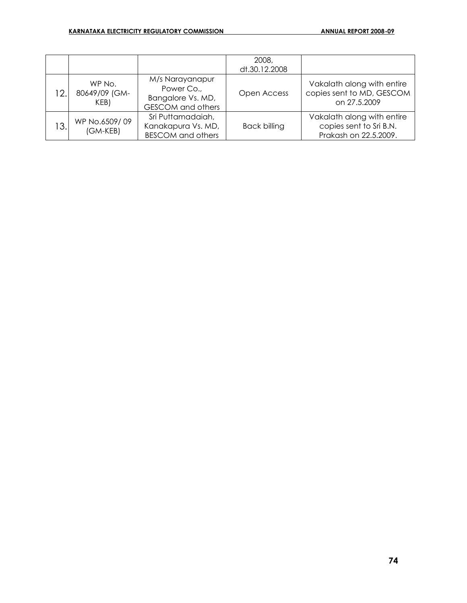|     |                                 |                                                                                | 2008,<br>dt.30.12.2008 |                                                                                |
|-----|---------------------------------|--------------------------------------------------------------------------------|------------------------|--------------------------------------------------------------------------------|
| 12. | WP No.<br>80649/09 (GM-<br>KEB) | M/s Narayanapur<br>Power Co.,<br>Bangalore Vs. MD,<br><b>GESCOM</b> and others | Open Access            | Vakalath along with entire<br>copies sent to MD, GESCOM<br>on 27.5.2009        |
| 13. | WP No.6509/09<br>$(GM - KEB)$   | Sri Puttamadaiah,<br>Kanakapura Vs. MD,<br><b>BESCOM</b> and others            | <b>Back billing</b>    | Vakalath along with entire<br>copies sent to Sri B.N.<br>Prakash on 22.5.2009. |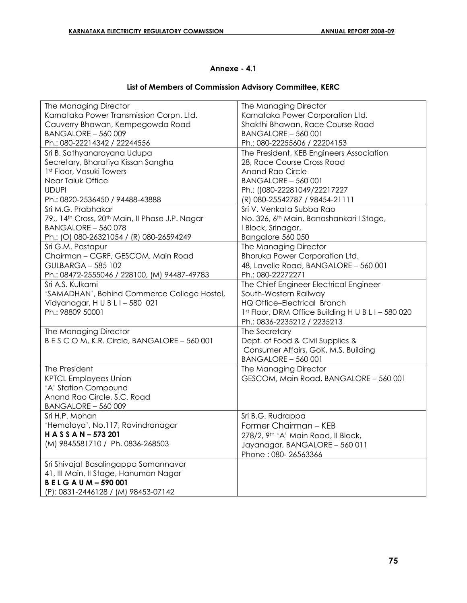## **Annexe - 4.1**

## **List of Members of Commission Advisory Committee, KERC**

| The Managing Director                           | The Managing Director                                |
|-------------------------------------------------|------------------------------------------------------|
| Karnataka Power Transmission Corpn. Ltd.        | Karnataka Power Corporation Ltd.                     |
| Cauverry Bhawan, Kempegowda Road                | Shakthi Bhawan, Race Course Road                     |
| BANGALORE - 560 009                             | <b>BANGALORE - 560 001</b>                           |
| Ph.: 080-22214342 / 22244556                    | Ph.: 080-22255606 / 22204153                         |
| Sri B. Sathyanarayana Udupa                     | The President, KEB Engineers Association             |
| Secretary, Bharatiya Kissan Sangha              | 28, Race Course Cross Road                           |
| 1st Floor, Vasuki Towers                        | <b>Anand Rao Circle</b>                              |
| Near Taluk Office                               | <b>BANGALORE - 560 001</b>                           |
| <b>UDUPI</b>                                    | Ph.: ()080-22281049/22217227                         |
| Ph.: 0820-2536450 / 94488-43888                 | (R) 080-25542787 / 98454-21111                       |
| Sri M.G. Prabhakar                              | Sri V. Venkata Subba Rao                             |
| 79,, 14th Cross, 20th Main, Il Phase J.P. Nagar | No. 326, 6 <sup>th</sup> Main, Banashankari I Stage, |
| <b>BANGALORE - 560 078</b>                      | I Block, Srinagar,                                   |
| Ph.: (O) 080-26321054 / (R) 080-26594249        | Bangalore 560 050                                    |
| Sri G.M. Pastapur                               | The Managing Director                                |
| Chairman - CGRF, GESCOM, Main Road              | <b>Bhoruka Power Corporation Ltd.</b>                |
| <b>GULBARGA - 585 102</b>                       | 48, Lavelle Road, BANGALORE - 560 001                |
| Ph.: 08472-2555046 / 228100, (M) 94487-49783    | Ph.: 080-22272271                                    |
| Sri A.S. Kulkarni                               | The Chief Engineer Electrical Engineer               |
| 'SAMADHAN', Behind Commerce College Hostel,     | South-Western Railway                                |
| Vidyanagar, HUBLI-580 021                       | HQ Office-Electrical Branch                          |
| Ph.: 98809 50001                                | 1st Floor, DRM Office Building H U B L I - 580 020   |
|                                                 | Ph.: 0836-2235212 / 2235213                          |
| The Managing Director                           | The Secretary                                        |
| BESCOM, K.R. Circle, BANGALORE - 560 001        | Dept. of Food & Civil Supplies &                     |
|                                                 | Consumer Affairs, GoK, M.S. Building                 |
|                                                 | <b>BANGALORE - 560 001</b>                           |
| The President                                   | The Managing Director                                |
| <b>KPTCL Employees Union</b>                    | GESCOM, Main Road, BANGALORE - 560 001               |
| 'A' Station Compound                            |                                                      |
| Anand Rao Circle, S.C. Road                     |                                                      |
| BANGALORE - 560 009                             |                                                      |
| Sri H.P. Mohan                                  | Sri B.G. Rudrappa                                    |
| 'Hemalaya', No.117, Ravindranagar               | Former Chairman - KEB                                |
| HASSAN-573201                                   |                                                      |
| (M) 9845581710 / Ph. 0836-268503                | 278/2, 9th 'A' Main Road, Il Block,                  |
|                                                 | Jayanagar, BANGALORE - 560 011                       |
|                                                 | Phone: 080-26563366                                  |
| Sri Shivajat Basalingappa Somannavar            |                                                      |
| 41, Ill Main, Il Stage, Hanuman Nagar           |                                                      |
| <b>BELGAUM-590001</b>                           |                                                      |
| (P): 0831-2446128 / (M) 98453-07142             |                                                      |